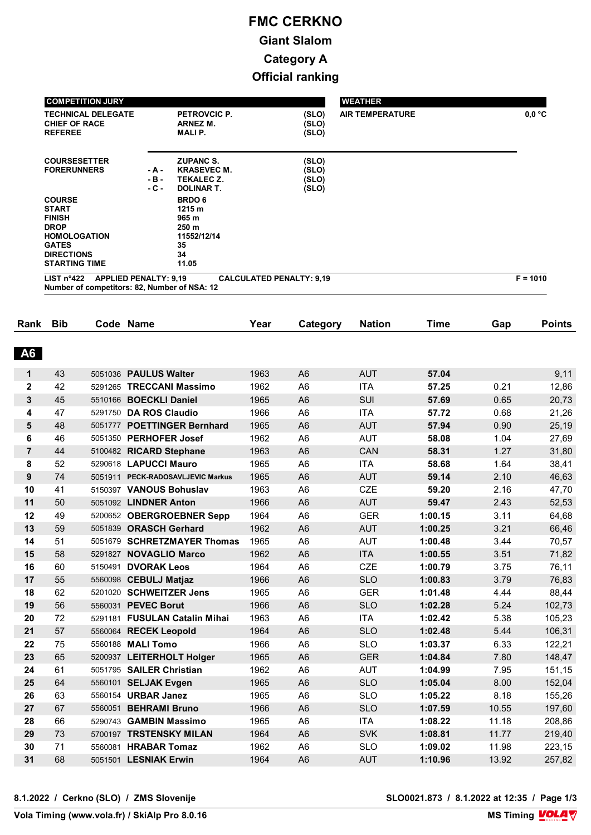| <b>COMPETITION JURY</b>                                                                                                                           |                           |                                                                                  |                                  | <b>WEATHER</b>         |                               |
|---------------------------------------------------------------------------------------------------------------------------------------------------|---------------------------|----------------------------------------------------------------------------------|----------------------------------|------------------------|-------------------------------|
| <b>TECHNICAL DELEGATE</b><br><b>CHIEF OF RACE</b><br><b>REFEREE</b>                                                                               |                           | PETROVCIC P.<br>ARNEZ M.<br><b>MALIP.</b>                                        | (SLO)<br>(SLO)<br>(SLO)          | <b>AIR TEMPERATURE</b> | $0,0\text{ }^{\circ}\text{C}$ |
| <b>COURSESETTER</b><br><b>FORERUNNERS</b>                                                                                                         | - A -<br>$-B -$<br>$-C -$ | <b>ZUPANC S.</b><br><b>KRASEVEC M.</b><br><b>TEKALEC Z.</b><br><b>DOLINAR T.</b> | (SLO)<br>(SLO)<br>(SLO)<br>(SLO) |                        |                               |
| <b>COURSE</b><br><b>START</b><br><b>FINISH</b><br><b>DROP</b><br><b>HOMOLOGATION</b><br><b>GATES</b><br><b>DIRECTIONS</b><br><b>STARTING TIME</b> |                           | <b>BRDO 6</b><br>1215 m<br>965 m<br>250 m<br>11552/12/14<br>35<br>34<br>11.05    |                                  |                        |                               |
| <b>APPLIED PENALTY: 9,19</b><br>LIST $n^{\circ}422$<br>Number of competitors: 82, Number of NSA: 12                                               |                           |                                                                                  | <b>CALCULATED PENALTY: 9,19</b>  |                        | $F = 1010$                    |

| Rank             | <b>Bib</b> |         | Code Name                         | Year | Category       | <b>Nation</b> | Time    | Gap   | <b>Points</b> |
|------------------|------------|---------|-----------------------------------|------|----------------|---------------|---------|-------|---------------|
|                  |            |         |                                   |      |                |               |         |       |               |
| <b>A6</b>        |            |         |                                   |      |                |               |         |       |               |
| 1                | 43         |         | 5051036 PAULUS Walter             | 1963 | A <sub>6</sub> | <b>AUT</b>    | 57.04   |       | 9,11          |
| $\mathbf 2$      | 42         |         | 5291265 TRECCANI Massimo          | 1962 | A <sub>6</sub> | <b>ITA</b>    | 57.25   | 0.21  | 12,86         |
| 3                | 45         | 5510166 | <b>BOECKLI Daniel</b>             | 1965 | A <sub>6</sub> | SUI           | 57.69   | 0.65  | 20,73         |
| 4                | 47         |         | 5291750 DA ROS Claudio            | 1966 | A <sub>6</sub> | <b>ITA</b>    | 57.72   | 0.68  | 21,26         |
| 5                | 48         | 5051777 | <b>POETTINGER Bernhard</b>        | 1965 | A <sub>6</sub> | <b>AUT</b>    | 57.94   | 0.90  | 25,19         |
| 6                | 46         | 5051350 | <b>PERHOFER Josef</b>             | 1962 | A <sub>6</sub> | <b>AUT</b>    | 58.08   | 1.04  | 27,69         |
| $\overline{7}$   | 44         |         | 5100482 RICARD Stephane           | 1963 | A <sub>6</sub> | CAN           | 58.31   | 1.27  | 31,80         |
| 8                | 52         |         | 5290618 LAPUCCI Mauro             | 1965 | A <sub>6</sub> | <b>ITA</b>    | 58.68   | 1.64  | 38,41         |
| $\boldsymbol{9}$ | 74         |         | 5051911 PECK-RADOSAVLJEVIC Markus | 1965 | A <sub>6</sub> | <b>AUT</b>    | 59.14   | 2.10  | 46,63         |
| 10               | 41         |         | 5150397 VANOUS Bohuslav           | 1963 | A <sub>6</sub> | <b>CZE</b>    | 59.20   | 2.16  | 47,70         |
| 11               | 50         |         | 5051092 <b>LINDNER Anton</b>      | 1966 | A <sub>6</sub> | <b>AUT</b>    | 59.47   | 2.43  | 52,53         |
| 12               | 49         |         | 5200652 OBERGROEBNER Sepp         | 1964 | A <sub>6</sub> | <b>GER</b>    | 1:00.15 | 3.11  | 64,68         |
| 13               | 59         |         | 5051839 ORASCH Gerhard            | 1962 | A <sub>6</sub> | <b>AUT</b>    | 1:00.25 | 3.21  | 66,46         |
| 14               | 51         | 5051679 | <b>SCHRETZMAYER Thomas</b>        | 1965 | A <sub>6</sub> | <b>AUT</b>    | 1:00.48 | 3.44  | 70,57         |
| 15               | 58         |         | 5291827 NOVAGLIO Marco            | 1962 | A <sub>6</sub> | <b>ITA</b>    | 1:00.55 | 3.51  | 71,82         |
| 16               | 60         | 5150491 | <b>DVORAK Leos</b>                | 1964 | A <sub>6</sub> | <b>CZE</b>    | 1:00.79 | 3.75  | 76,11         |
| 17               | 55         |         | 5560098 CEBULJ Matjaz             | 1966 | A <sub>6</sub> | <b>SLO</b>    | 1:00.83 | 3.79  | 76,83         |
| 18               | 62         |         | 5201020 SCHWEITZER Jens           | 1965 | A <sub>6</sub> | <b>GER</b>    | 1:01.48 | 4.44  | 88,44         |
| 19               | 56         | 5560031 | <b>PEVEC Borut</b>                | 1966 | A <sub>6</sub> | <b>SLO</b>    | 1:02.28 | 5.24  | 102,73        |
| 20               | 72         | 5291181 | <b>FUSULAN Catalin Mihai</b>      | 1963 | A <sub>6</sub> | <b>ITA</b>    | 1:02.42 | 5.38  | 105,23        |
| 21               | 57         |         | 5560064 RECEK Leopold             | 1964 | A <sub>6</sub> | <b>SLO</b>    | 1:02.48 | 5.44  | 106,31        |
| 22               | 75         |         | 5560188 MALI Tomo                 | 1966 | A <sub>6</sub> | <b>SLO</b>    | 1:03.37 | 6.33  | 122,21        |
| 23               | 65         |         | 5200937 LEITERHOLT Holger         | 1965 | A <sub>6</sub> | <b>GER</b>    | 1:04.84 | 7.80  | 148,47        |
| 24               | 61         |         | 5051795 SAILER Christian          | 1962 | A <sub>6</sub> | <b>AUT</b>    | 1:04.99 | 7.95  | 151,15        |
| 25               | 64         |         | 5560101 SELJAK Evgen              | 1965 | A <sub>6</sub> | <b>SLO</b>    | 1:05.04 | 8.00  | 152,04        |
| 26               | 63         |         | 5560154 URBAR Janez               | 1965 | A <sub>6</sub> | <b>SLO</b>    | 1:05.22 | 8.18  | 155,26        |
| 27               | 67         | 5560051 | <b>BEHRAMI Bruno</b>              | 1966 | A <sub>6</sub> | <b>SLO</b>    | 1:07.59 | 10.55 | 197,60        |
| 28               | 66         |         | 5290743 GAMBIN Massimo            | 1965 | A <sub>6</sub> | <b>ITA</b>    | 1:08.22 | 11.18 | 208,86        |
| 29               | 73         |         | 5700197 TRSTENSKY MILAN           | 1964 | A <sub>6</sub> | <b>SVK</b>    | 1:08.81 | 11.77 | 219,40        |
| 30               | 71         |         | 5560081 HRABAR Tomaz              | 1962 | A <sub>6</sub> | <b>SLO</b>    | 1:09.02 | 11.98 | 223,15        |
| 31               | 68         |         | 5051501 LESNIAK Erwin             | 1964 | A <sub>6</sub> | <b>AUT</b>    | 1:10.96 | 13.92 | 257,82        |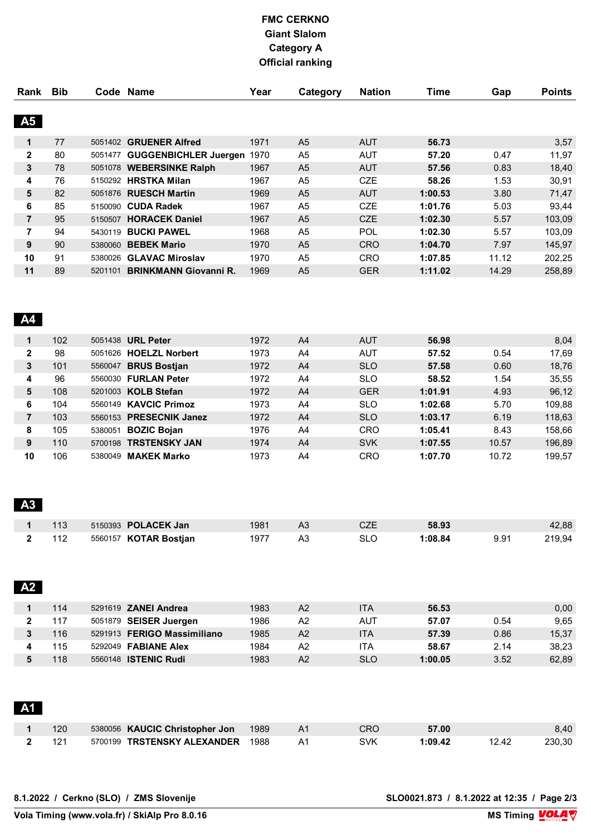| Rank           | <b>Bib</b> |         | Code Name                    | Year | Category       | <b>Nation</b> | Time    | Gap   | <b>Points</b> |
|----------------|------------|---------|------------------------------|------|----------------|---------------|---------|-------|---------------|
|                |            |         |                              |      |                |               |         |       |               |
| A5             |            |         |                              |      |                |               |         |       |               |
| 1              | 77         | 5051402 | <b>GRUENER Alfred</b>        | 1971 | A <sub>5</sub> | <b>AUT</b>    | 56.73   |       | 3,57          |
| $\mathbf{2}$   | 80         | 5051477 | <b>GUGGENBICHLER Juergen</b> | 1970 | A <sub>5</sub> | <b>AUT</b>    | 57.20   | 0.47  | 11,97         |
| 3              | 78         |         | 5051078 WEBERSINKE Ralph     | 1967 | A <sub>5</sub> | <b>AUT</b>    | 57.56   | 0.83  | 18,40         |
| 4              | 76         | 5150292 | <b>HRSTKA Milan</b>          | 1967 | A <sub>5</sub> | <b>CZE</b>    | 58.26   | 1.53  | 30,91         |
| 5              | 82         |         | 5051876 RUESCH Martin        | 1969 | A <sub>5</sub> | <b>AUT</b>    | 1:00.53 | 3.80  | 71,47         |
| 6              | 85         | 5150090 | <b>CUDA Radek</b>            | 1967 | A <sub>5</sub> | <b>CZE</b>    | 1:01.76 | 5.03  | 93,44         |
| $\overline{7}$ | 95         | 5150507 | <b>HORACEK Daniel</b>        | 1967 | A <sub>5</sub> | <b>CZE</b>    | 1:02.30 | 5.57  | 103,09        |
| 7              | 94         | 5430119 | <b>BUCKI PAWEL</b>           | 1968 | A <sub>5</sub> | POL           | 1:02.30 | 5.57  | 103,09        |
| 9              | 90         | 5380060 | <b>BEBEK Mario</b>           | 1970 | A <sub>5</sub> | <b>CRO</b>    | 1:04.70 | 7.97  | 145,97        |
| 10             | 91         | 5380026 | <b>GLAVAC Miroslav</b>       | 1970 | A <sub>5</sub> | <b>CRO</b>    | 1:07.85 | 11.12 | 202,25        |
| 11             | 89         | 5201101 | <b>BRINKMANN Giovanni R.</b> | 1969 | A <sub>5</sub> | <b>GER</b>    | 1:11.02 | 14.29 | 258,89        |
|                |            |         |                              |      |                |               |         |       |               |

#### **A4**

| 1            | 102 |         | 5051438 <b>URL Peter</b> | 1972 | A <sub>4</sub> | <b>AUT</b> | 56.98   |       | 8,04   |
|--------------|-----|---------|--------------------------|------|----------------|------------|---------|-------|--------|
| $\mathbf{2}$ | 98  |         | 5051626 HOELZL Norbert   | 1973 | A4             | <b>AUT</b> | 57.52   | 0.54  | 17,69  |
| 3            | 101 | 5560047 | <b>BRUS Bostian</b>      | 1972 | A <sub>4</sub> | <b>SLO</b> | 57.58   | 0.60  | 18,76  |
| 4            | 96  |         | 5560030 FURLAN Peter     | 1972 | A4             | <b>SLO</b> | 58.52   | 1.54  | 35.55  |
| 5            | 108 |         | 5201003 KOLB Stefan      | 1972 | A <sub>4</sub> | <b>GER</b> | 1:01.91 | 4.93  | 96,12  |
| 6            | 104 |         | 5560149 KAVCIC Primoz    | 1973 | A4             | <b>SLO</b> | 1:02.68 | 5.70  | 109.88 |
|              | 103 |         | 5560153 PRESECNIK Janez  | 1972 | A <sub>4</sub> | <b>SLO</b> | 1:03.17 | 6.19  | 118,63 |
| 8            | 105 | 5380051 | <b>BOZIC Bojan</b>       | 1976 | A4             | <b>CRO</b> | 1:05.41 | 8.43  | 158.66 |
| 9            | 110 | 5700198 | <b>TRSTENSKY JAN</b>     | 1974 | A <sub>4</sub> | <b>SVK</b> | 1:07.55 | 10.57 | 196,89 |
| 10           | 106 | 5380049 | <b>MAKEK Marko</b>       | 1973 | A4             | CRO        | 1:07.70 | 10.72 | 199.57 |

### **A3**

| $1 \t113$ | 5150393 <b>POLACEK Jan</b>   | 1981 | A <sub>3</sub> | CZE        | 58.93   |      | 42,88  |
|-----------|------------------------------|------|----------------|------------|---------|------|--------|
| 2 112     | 5560157 <b>KOTAR Bostjan</b> | 1977 | A3             | <b>SLO</b> | 1:08.84 | 9.91 | 219.94 |

| <b>A2</b> |     |                             |      |                |            |         |      |       |
|-----------|-----|-----------------------------|------|----------------|------------|---------|------|-------|
|           | 114 | 5291619 <b>ZANEI Andrea</b> | 1983 | A2             | <b>ITA</b> | 56.53   |      | 0,00  |
|           | 117 | 5051879 SEISER Juergen      | 1986 | A2             | AUT        | 57.07   | 0.54 | 9,65  |
|           | 116 | 5291913 FERIGO Massimiliano | 1985 | A2             | <b>ITA</b> | 57.39   | 0.86 | 15,37 |
|           | 115 | 5292049 <b>FABIANE Alex</b> | 1984 | A2             | <b>ITA</b> | 58.67   | 2.14 | 38,23 |
|           | 118 | 5560148 <b>ISTENIC Rudi</b> | 1983 | A <sub>2</sub> | <b>SLO</b> | 1:00.05 | 3.52 | 62,89 |

| <b>A1</b> |     |                                  |      |    |     |         |       |        |
|-----------|-----|----------------------------------|------|----|-----|---------|-------|--------|
|           | 120 | 5380056 KAUCIC Christopher Jon   | 1989 | A1 | CRO | 57.00   |       | 8.40   |
|           |     | 5700199 TRSTENSKY ALEXANDER 1988 |      | A1 | SVK | 1:09.42 | 12.42 | 230.30 |

**8.1.2022 / Cerkno (SLO) / ZMS Slovenije SLO0021.873 / 8.1.2022 at 12:35 / Page 2/3**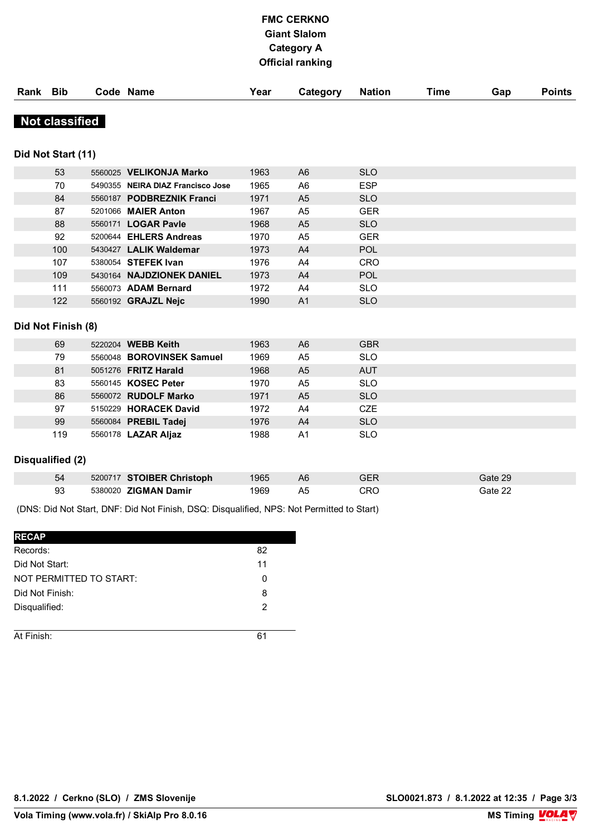| Rank | <b>Bib</b>            | Code Name                         | Year | Category            | <b>Nation</b>  | <b>Time</b> | Gap | <b>Points</b> |
|------|-----------------------|-----------------------------------|------|---------------------|----------------|-------------|-----|---------------|
|      | <b>Not classified</b> |                                   |      |                     |                |             |     |               |
|      | Did Not Start (11)    |                                   |      |                     |                |             |     |               |
|      | 53                    | 5560025 VELIKONJA Marko           | 1963 | A6                  | <b>SLO</b>     |             |     |               |
|      | 70                    | 5490355 NEIRA DIAZ Francisco Jose | 1965 | A <sub>6</sub>      | <b>ESP</b>     |             |     |               |
|      | 84                    | 5560187 PODBREZNIK Franci         | 1971 | A <sub>5</sub>      | <b>SLO</b>     |             |     |               |
|      | 87                    | 5201066 <b>MAIER Anton</b>        | 1967 | A <sub>5</sub>      | <b>GER</b>     |             |     |               |
|      | 88                    | 5560171 LOGAR Pavle               | 1968 | A <sub>5</sub>      | <b>SLO</b>     |             |     |               |
|      | 92                    | 5200644 EHLERS Andreas            | 1970 | A <sub>5</sub>      | <b>GER</b>     |             |     |               |
|      | 100                   | $E420427$   All $V$ Waldeman      | 1072 | $\Lambda$ $\Lambda$ | D <sub>0</sub> |             |     |               |

| 100                | 5430427 LALIK Waldemar     | 1973 | A <sub>4</sub> | <b>POL</b> |
|--------------------|----------------------------|------|----------------|------------|
| 107                | 5380054 <b>STEFEK Ivan</b> | 1976 | A4             | <b>CRO</b> |
| 109                | 5430164 NAJDZIONEK DANIEL  | 1973 | A <sup>4</sup> | <b>POL</b> |
| 111                | 5560073 ADAM Bernard       | 1972 | A4             | <b>SLO</b> |
| 122                | 5560192 GRAJZL Nejc        | 1990 | A <sub>1</sub> | <b>SLO</b> |
|                    |                            |      |                |            |
| Did Not Finish (8) |                            |      |                |            |

| 69  | 5220204 WEBB Keith         | 1963 | A <sub>6</sub> | <b>GBR</b> |
|-----|----------------------------|------|----------------|------------|
| 79  | 5560048 BOROVINSEK Samuel  | 1969 | A <sub>5</sub> | <b>SLO</b> |
| 81  | 5051276 FRITZ Harald       | 1968 | A <sub>5</sub> | <b>AUT</b> |
| 83  | 5560145 KOSEC Peter        | 1970 | A <sub>5</sub> | <b>SLO</b> |
| 86  | 5560072 RUDOLF Marko       | 1971 | A <sub>5</sub> | <b>SLO</b> |
| 97  | 5150229 HORACEK David      | 1972 | A4             | <b>CZE</b> |
| 99  | 5560084 PREBIL Tadej       | 1976 | A <sub>4</sub> | <b>SLO</b> |
| 119 | 5560178 <b>LAZAR Aljaz</b> | 1988 | A <sub>1</sub> | <b>SLO</b> |

#### **Disqualified (2)**

| 54 | 5200717 STOIBER Christoph | 1965 | A6 | GER | Gate 29 |
|----|---------------------------|------|----|-----|---------|
| 93 | 5380020 ZIGMAN Damir      | 1969 | Α5 | CRO | Gate 22 |

(DNS: Did Not Start, DNF: Did Not Finish, DSQ: Disqualified, NPS: Not Permitted to Start)

| <b>RECAP</b>            |    |
|-------------------------|----|
| Records:                | 82 |
| Did Not Start:          | 11 |
| NOT PERMITTED TO START: | 0  |
| Did Not Finish:         | 8  |
| Disqualified:           | 2  |
|                         |    |
| At Finish:              |    |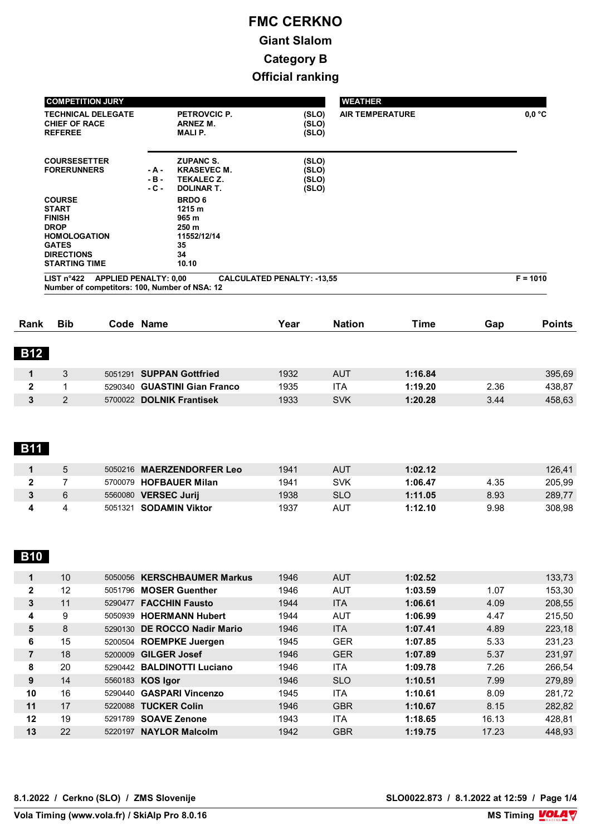| <b>COMPETITION JURY</b>                             |        |                                 |                                   | <b>WEATHER</b>         |                           |
|-----------------------------------------------------|--------|---------------------------------|-----------------------------------|------------------------|---------------------------|
| <b>TECHNICAL DELEGATE</b><br><b>CHIEF OF RACE</b>   |        | PETROVCIC P.<br><b>ARNEZ M.</b> | (SLO)<br>(SLO)                    | <b>AIR TEMPERATURE</b> | $0,0\,^{\circ}\mathrm{C}$ |
| <b>REFEREE</b>                                      |        | <b>MALIP.</b>                   | (SLO)                             |                        |                           |
| <b>COURSESETTER</b>                                 |        | <b>ZUPANC S.</b>                | (SLO)                             |                        |                           |
| <b>FORERUNNERS</b>                                  | $-A -$ | <b>KRASEVEC M.</b>              | (SLO)                             |                        |                           |
|                                                     | $-B -$ | <b>TEKALEC Z.</b>               | (SLO)                             |                        |                           |
|                                                     | $-C -$ | <b>DOLINAR T.</b>               | (SLO)                             |                        |                           |
| <b>COURSE</b>                                       |        | <b>BRDO 6</b>                   |                                   |                        |                           |
| <b>START</b>                                        |        | 1215 m                          |                                   |                        |                           |
| <b>FINISH</b>                                       |        | 965 m                           |                                   |                        |                           |
| <b>DROP</b>                                         |        | 250 m                           |                                   |                        |                           |
| <b>HOMOLOGATION</b>                                 |        | 11552/12/14                     |                                   |                        |                           |
| <b>GATES</b>                                        |        | 35                              |                                   |                        |                           |
| <b>DIRECTIONS</b>                                   |        | 34                              |                                   |                        |                           |
| <b>STARTING TIME</b>                                |        | 10.10                           |                                   |                        |                           |
| LIST $n^{\circ}422$<br><b>APPLIED PENALTY: 0,00</b> |        |                                 | <b>CALCULATED PENALTY: -13,55</b> |                        | $F = 1010$                |
| Number of competitors: 100, Number of NSA: 12       |        |                                 |                                   |                        |                           |

| Rank       | <b>Bib</b> | Code Name                    | Year | <b>Nation</b> | Time    | Gap  | <b>Points</b> |
|------------|------------|------------------------------|------|---------------|---------|------|---------------|
| <b>B12</b> |            |                              |      |               |         |      |               |
|            | 3          | 5051291 SUPPAN Gottfried     | 1932 | <b>AUT</b>    | 1:16.84 |      | 395,69        |
| 2          |            | 5290340 GUASTINI Gian Franco | 1935 | <b>ITA</b>    | 1:19.20 | 2.36 | 438,87        |
| 3          | 2          | 5700022 DOLNIK Frantisek     | 1933 | <b>SVK</b>    | 1:20.28 | 3.44 | 458,63        |

# **B11**

| 5 | 5050216 MAERZENDORFER Leo      | 1941 | <b>AUT</b> | 1:02.12 |      | 126,41 |
|---|--------------------------------|------|------------|---------|------|--------|
|   | 5700079 HOFBAUER Milan         | 1941 | SVK        | 1:06.47 | 4.35 | 205,99 |
|   | <b>VERSEC Jurij</b><br>5560080 | 1938 | SLO        | 1:11.05 | 8.93 | 289,77 |
|   | 5051321 <b>SODAMIN Viktor</b>  | 1937 | AUT        | 1:12.10 | 9.98 | 308.98 |

# **B10**

| 1  | 10 |         | 5050056 KERSCHBAUMER Markus | 1946 | <b>AUT</b> | 1:02.52 |       | 133,73 |
|----|----|---------|-----------------------------|------|------------|---------|-------|--------|
| 2  | 12 | 5051796 | <b>MOSER Guenther</b>       | 1946 | <b>AUT</b> | 1:03.59 | 1.07  | 153,30 |
| 3  | 11 | 5290477 | <b>FACCHIN Fausto</b>       | 1944 | <b>ITA</b> | 1:06.61 | 4.09  | 208,55 |
| 4  | 9  | 5050939 | <b>HOERMANN Hubert</b>      | 1944 | <b>AUT</b> | 1:06.99 | 4.47  | 215.50 |
| 5  | 8  | 5290130 | <b>DE ROCCO Nadir Mario</b> | 1946 | <b>ITA</b> | 1:07.41 | 4.89  | 223,18 |
| 6  | 15 |         | 5200504 ROEMPKE Juergen     | 1945 | <b>GER</b> | 1:07.85 | 5.33  | 231.23 |
| 7  | 18 | 5200009 | <b>GILGER Josef</b>         | 1946 | <b>GER</b> | 1:07.89 | 5.37  | 231,97 |
| 8  | 20 |         | 5290442 BALDINOTTI Luciano  | 1946 | <b>ITA</b> | 1:09.78 | 7.26  | 266.54 |
| 9  | 14 |         | 5560183 KOS Igor            | 1946 | <b>SLO</b> | 1:10.51 | 7.99  | 279,89 |
| 10 | 16 | 5290440 | <b>GASPARI Vincenzo</b>     | 1945 | <b>ITA</b> | 1:10.61 | 8.09  | 281,72 |
| 11 | 17 | 5220088 | <b>TUCKER Colin</b>         | 1946 | <b>GBR</b> | 1:10.67 | 8.15  | 282,82 |
| 12 | 19 | 5291789 | <b>SOAVE Zenone</b>         | 1943 | <b>ITA</b> | 1:18.65 | 16.13 | 428.81 |
| 13 | 22 | 5220197 | <b>NAYLOR Malcolm</b>       | 1942 | <b>GBR</b> | 1:19.75 | 17.23 | 448.93 |
|    |    |         |                             |      |            |         |       |        |

**8.1.2022 / Cerkno (SLO) / ZMS Slovenije SLO0022.873 / 8.1.2022 at 12:59 / Page 1/4**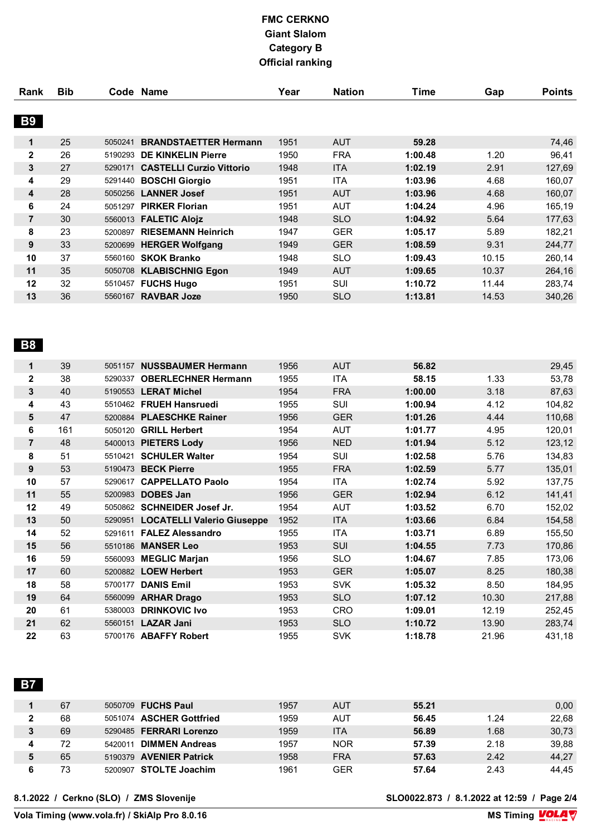| Rank           | <b>Bib</b> |         | Code Name                       | Year | <b>Nation</b> | <b>Time</b> | Gap   | <b>Points</b> |
|----------------|------------|---------|---------------------------------|------|---------------|-------------|-------|---------------|
|                |            |         |                                 |      |               |             |       |               |
| <b>B9</b>      |            |         |                                 |      |               |             |       |               |
| 1              | 25         | 5050241 | <b>BRANDSTAETTER Hermann</b>    | 1951 | <b>AUT</b>    | 59.28       |       | 74,46         |
| $\mathbf{2}$   | 26         | 5190293 | <b>DE KINKELIN Pierre</b>       | 1950 | <b>FRA</b>    | 1:00.48     | 1.20  | 96,41         |
| 3              | 27         | 5290171 | <b>CASTELLI Curzio Vittorio</b> | 1948 | <b>ITA</b>    | 1:02.19     | 2.91  | 127,69        |
| 4              | 29         | 5291440 | <b>BOSCHI Giorgio</b>           | 1951 | <b>ITA</b>    | 1:03.96     | 4.68  | 160,07        |
| 4              | 28         |         | 5050256 LANNER Josef            | 1951 | <b>AUT</b>    | 1:03.96     | 4.68  | 160,07        |
| 6              | 24         | 5051297 | <b>PIRKER Florian</b>           | 1951 | AUT           | 1:04.24     | 4.96  | 165,19        |
| $\overline{7}$ | 30         |         | 5560013 FALETIC Alojz           | 1948 | <b>SLO</b>    | 1:04.92     | 5.64  | 177,63        |
| 8              | 23         | 5200897 | <b>RIESEMANN Heinrich</b>       | 1947 | <b>GER</b>    | 1:05.17     | 5.89  | 182,21        |
| 9              | 33         |         | 5200699 HERGER Wolfgang         | 1949 | <b>GER</b>    | 1:08.59     | 9.31  | 244,77        |
| 10             | 37         |         | 5560160 <b>SKOK Branko</b>      | 1948 | <b>SLO</b>    | 1:09.43     | 10.15 | 260,14        |
| 11             | 35         | 5050708 | <b>KLABISCHNIG Egon</b>         | 1949 | <b>AUT</b>    | 1:09.65     | 10.37 | 264,16        |
| 12             | 32         | 5510457 | <b>FUCHS Hugo</b>               | 1951 | SUI           | 1:10.72     | 11.44 | 283,74        |
| 13             | 36         | 5560167 | <b>RAVBAR Joze</b>              | 1950 | <b>SLO</b>    | 1:13.81     | 14.53 | 340,26        |

# **B8**

| 1              | 39  |         | 5051157 NUSSBAUMER Hermann         | 1956 | <b>AUT</b> | 56.82   |       | 29,45  |
|----------------|-----|---------|------------------------------------|------|------------|---------|-------|--------|
| $\mathbf{2}$   | 38  | 5290337 | <b>OBERLECHNER Hermann</b>         | 1955 | ITA        | 58.15   | 1.33  | 53,78  |
| 3              | 40  |         | 5190553 LERAT Michel               | 1954 | <b>FRA</b> | 1:00.00 | 3.18  | 87,63  |
| 4              | 43  |         | 5510462 FRUEH Hansruedi            | 1955 | SUI        | 1:00.94 | 4.12  | 104,82 |
| 5              | 47  |         | 5200884 PLAESCHKE Rainer           | 1956 | <b>GER</b> | 1:01.26 | 4.44  | 110,68 |
| 6              | 161 | 5050120 | <b>GRILL Herbert</b>               | 1954 | <b>AUT</b> | 1:01.77 | 4.95  | 120,01 |
| $\overline{7}$ | 48  |         | 5400013 PIETERS Lody               | 1956 | <b>NED</b> | 1:01.94 | 5.12  | 123,12 |
| 8              | 51  |         | 5510421 SCHULER Walter             | 1954 | SUI        | 1:02.58 | 5.76  | 134,83 |
| 9              | 53  |         | 5190473 BECK Pierre                | 1955 | <b>FRA</b> | 1:02.59 | 5.77  | 135,01 |
| 10             | 57  |         | 5290617 CAPPELLATO Paolo           | 1954 | ITA        | 1:02.74 | 5.92  | 137,75 |
| 11             | 55  |         | 5200983 <b>DOBES Jan</b>           | 1956 | <b>GER</b> | 1:02.94 | 6.12  | 141,41 |
| 12             | 49  |         | 5050862 SCHNEIDER Josef Jr.        | 1954 | <b>AUT</b> | 1:03.52 | 6.70  | 152,02 |
| 13             | 50  |         | 5290951 LOCATELLI Valerio Giuseppe | 1952 | <b>ITA</b> | 1:03.66 | 6.84  | 154,58 |
| 14             | 52  |         | 5291611 FALEZ Alessandro           | 1955 | ITA        | 1:03.71 | 6.89  | 155,50 |
| 15             | 56  |         | 5510186 MANSER Leo                 | 1953 | <b>SUI</b> | 1:04.55 | 7.73  | 170,86 |
| 16             | 59  |         | 5560093 MEGLIC Marjan              | 1956 | <b>SLO</b> | 1:04.67 | 7.85  | 173,06 |
| 17             | 60  |         | 5200882 LOEW Herbert               | 1953 | <b>GER</b> | 1:05.07 | 8.25  | 180,38 |
| 18             | 58  | 5700177 | <b>DANIS Emil</b>                  | 1953 | <b>SVK</b> | 1:05.32 | 8.50  | 184,95 |
| 19             | 64  |         | 5560099 ARHAR Drago                | 1953 | <b>SLO</b> | 1:07.12 | 10.30 | 217,88 |
| 20             | 61  | 5380003 | <b>DRINKOVIC Ivo</b>               | 1953 | <b>CRO</b> | 1:09.01 | 12.19 | 252,45 |
| 21             | 62  |         | 5560151 <b>LAZAR Jani</b>          | 1953 | <b>SLO</b> | 1:10.72 | 13.90 | 283,74 |
| 22             | 63  |         | 5700176 ABAFFY Robert              | 1955 | <b>SVK</b> | 1:18.78 | 21.96 | 431,18 |

# **B7**

| 67 | 5050709 FUCHS Paul               | 1957 | <b>AUT</b> | 55.21 |      | 0,00  |
|----|----------------------------------|------|------------|-------|------|-------|
| 68 | 5051074 ASCHER Gottfried         | 1959 | AUT        | 56.45 | 1.24 | 22,68 |
| 69 | 5290485 FERRARI Lorenzo          | 1959 | ITA        | 56.89 | 1.68 | 30,73 |
| 72 | <b>DIMMEN Andreas</b><br>5420011 | 1957 | <b>NOR</b> | 57.39 | 2.18 | 39,88 |
| 65 | 5190379 AVENIER Patrick          | 1958 | <b>FRA</b> | 57.63 | 2.42 | 44,27 |
| 73 | 5200907 STOLTE Joachim           | 1961 | GER        | 57.64 | 2.43 | 44.45 |

**8.1.2022 / Cerkno (SLO) / ZMS Slovenije SLO0022.873 / 8.1.2022 at 12:59 / Page 2/4**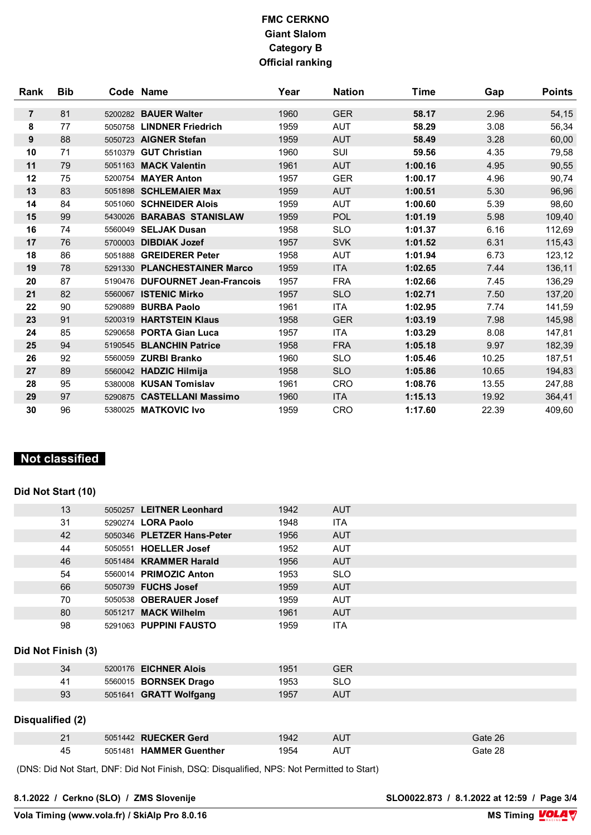| Rank           | <b>Bib</b> |         | Code Name                      | Year | <b>Nation</b> | Time    | Gap   | <b>Points</b> |
|----------------|------------|---------|--------------------------------|------|---------------|---------|-------|---------------|
|                |            |         |                                |      |               |         |       |               |
| $\overline{7}$ | 81         | 5200282 | <b>BAUER Walter</b>            | 1960 | <b>GER</b>    | 58.17   | 2.96  | 54,15         |
| 8              | 77         | 5050758 | <b>LINDNER Friedrich</b>       | 1959 | <b>AUT</b>    | 58.29   | 3.08  | 56,34         |
| 9              | 88         |         | 5050723 AIGNER Stefan          | 1959 | <b>AUT</b>    | 58.49   | 3.28  | 60,00         |
| 10             | 71         | 5510379 | <b>GUT Christian</b>           | 1960 | SUI           | 59.56   | 4.35  | 79,58         |
| 11             | 79         |         | 5051163 MACK Valentin          | 1961 | <b>AUT</b>    | 1:00.16 | 4.95  | 90,55         |
| 12             | 75         |         | 5200754 MAYER Anton            | 1957 | <b>GER</b>    | 1:00.17 | 4.96  | 90,74         |
| 13             | 83         |         | 5051898 SCHLEMAIER Max         | 1959 | <b>AUT</b>    | 1:00.51 | 5.30  | 96,96         |
| 14             | 84         |         | 5051060 SCHNEIDER Alois        | 1959 | <b>AUT</b>    | 1:00.60 | 5.39  | 98,60         |
| 15             | 99         |         | 5430026 BARABAS STANISLAW      | 1959 | POL           | 1:01.19 | 5.98  | 109,40        |
| 16             | 74         |         | 5560049 SELJAK Dusan           | 1958 | <b>SLO</b>    | 1:01.37 | 6.16  | 112,69        |
| 17             | 76         | 5700003 | <b>DIBDIAK Jozef</b>           | 1957 | <b>SVK</b>    | 1:01.52 | 6.31  | 115,43        |
| 18             | 86         | 5051888 | <b>GREIDERER Peter</b>         | 1958 | <b>AUT</b>    | 1:01.94 | 6.73  | 123,12        |
| 19             | 78         |         | 5291330 PLANCHESTAINER Marco   | 1959 | <b>ITA</b>    | 1:02.65 | 7.44  | 136,11        |
| 20             | 87         | 5190476 | <b>DUFOURNET Jean-Francois</b> | 1957 | <b>FRA</b>    | 1:02.66 | 7.45  | 136,29        |
| 21             | 82         |         | 5560067 ISTENIC Mirko          | 1957 | <b>SLO</b>    | 1:02.71 | 7.50  | 137,20        |
| 22             | 90         | 5290889 | <b>BURBA Paolo</b>             | 1961 | <b>ITA</b>    | 1:02.95 | 7.74  | 141,59        |
| 23             | 91         | 5200319 | <b>HARTSTEIN Klaus</b>         | 1958 | <b>GER</b>    | 1:03.19 | 7.98  | 145,98        |
| 24             | 85         |         | 5290658 PORTA Gian Luca        | 1957 | <b>ITA</b>    | 1:03.29 | 8.08  | 147,81        |
| 25             | 94         |         | 5190545 BLANCHIN Patrice       | 1958 | <b>FRA</b>    | 1:05.18 | 9.97  | 182,39        |
| 26             | 92         |         | 5560059 ZURBI Branko           | 1960 | <b>SLO</b>    | 1:05.46 | 10.25 | 187,51        |
| 27             | 89         |         | 5560042 HADZIC Hilmija         | 1958 | <b>SLO</b>    | 1:05.86 | 10.65 | 194,83        |
| 28             | 95         |         | 5380008 KUSAN Tomislav         | 1961 | <b>CRO</b>    | 1:08.76 | 13.55 | 247,88        |
| 29             | 97         |         | 5290875 CASTELLANI Massimo     | 1960 | <b>ITA</b>    | 1:15.13 | 19.92 | 364,41        |
| 30             | 96         |         | 5380025 MATKOVIC Ivo           | 1959 | <b>CRO</b>    | 1:17.60 | 22.39 | 409,60        |

# **Not classified**

# **Did Not Start (10)**

| 13                 |  | 5050257 LEITNER Leonhard                                                                  | 1942 | <b>AUT</b> |         |  |  |  |
|--------------------|--|-------------------------------------------------------------------------------------------|------|------------|---------|--|--|--|
| 31                 |  | 5290274 LORA Paolo                                                                        | 1948 | <b>ITA</b> |         |  |  |  |
| 42                 |  | 5050346 PLETZER Hans-Peter                                                                | 1956 | <b>AUT</b> |         |  |  |  |
| 44                 |  | 5050551 HOELLER Josef                                                                     | 1952 | AUT        |         |  |  |  |
| 46                 |  | 5051484 KRAMMER Harald                                                                    | 1956 | <b>AUT</b> |         |  |  |  |
| 54                 |  | 5560014 PRIMOZIC Anton                                                                    | 1953 | <b>SLO</b> |         |  |  |  |
| 66                 |  | 5050739 FUCHS Josef                                                                       | 1959 | <b>AUT</b> |         |  |  |  |
| 70                 |  | 5050538 OBERAUER Josef                                                                    | 1959 | AUT        |         |  |  |  |
| 80                 |  | 5051217 MACK Wilhelm                                                                      | 1961 | <b>AUT</b> |         |  |  |  |
| 98                 |  | 5291063 PUPPINI FAUSTO                                                                    | 1959 | ITA        |         |  |  |  |
| Did Not Finish (3) |  |                                                                                           |      |            |         |  |  |  |
| 34                 |  | 5200176 EICHNER Alois                                                                     | 1951 | <b>GER</b> |         |  |  |  |
| 41                 |  | 5560015 <b>BORNSEK Drago</b>                                                              | 1953 | <b>SLO</b> |         |  |  |  |
| 93                 |  | 5051641 GRATT Wolfgang                                                                    | 1957 | <b>AUT</b> |         |  |  |  |
|                    |  |                                                                                           |      |            |         |  |  |  |
| Disqualified (2)   |  |                                                                                           |      |            |         |  |  |  |
| 21                 |  | 5051442 RUECKER Gerd                                                                      | 1942 | <b>AUT</b> | Gate 26 |  |  |  |
| 45                 |  | 5051481 HAMMER Guenther                                                                   | 1954 | AUT        | Gate 28 |  |  |  |
|                    |  | (DNS: Did Not Start, DNF: Did Not Finish, DSQ: Disqualified, NPS: Not Permitted to Start) |      |            |         |  |  |  |

**8.1.2022 / Cerkno (SLO) / ZMS Slovenije SLO0022.873 / 8.1.2022 at 12:59 / Page 3/4**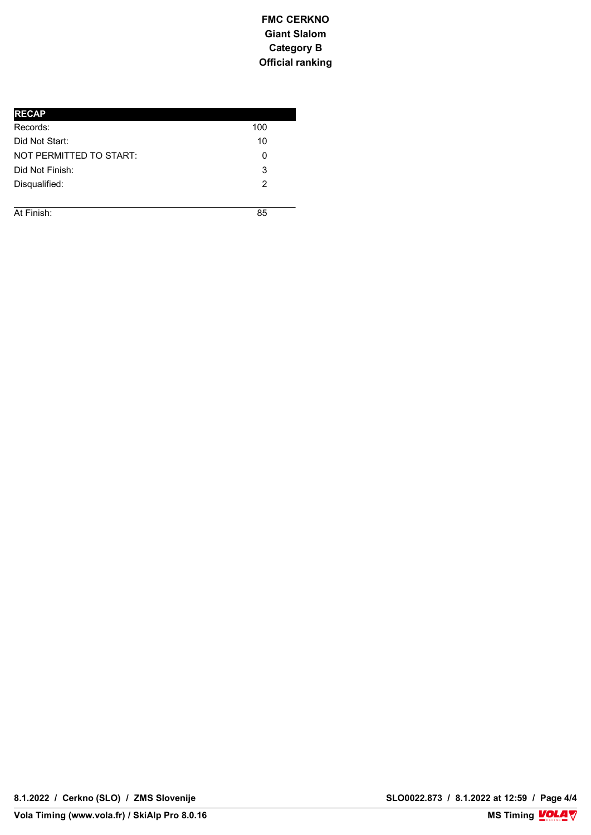| <b>RECAP</b>            |     |
|-------------------------|-----|
| Records:                | 100 |
| Did Not Start:          | 10  |
| NOT PERMITTED TO START: | 0   |
| Did Not Finish:         | 3   |
| Disqualified:           | 2   |
|                         |     |

**h**<sup>1</sup> **FINISH REPORT OF THE SECOND CONSULTANCE IN A SECOND CONSULTANCE IN A SECOND CONSULTANCE IN A SECOND CONSULTANCE IN A SECOND CONSULTANCE IN A SECOND CONSULTANCE IN A SECOND CONSULTANCE IN A SECOND CONSULTANCE IN A SECOND C** At Finish: 85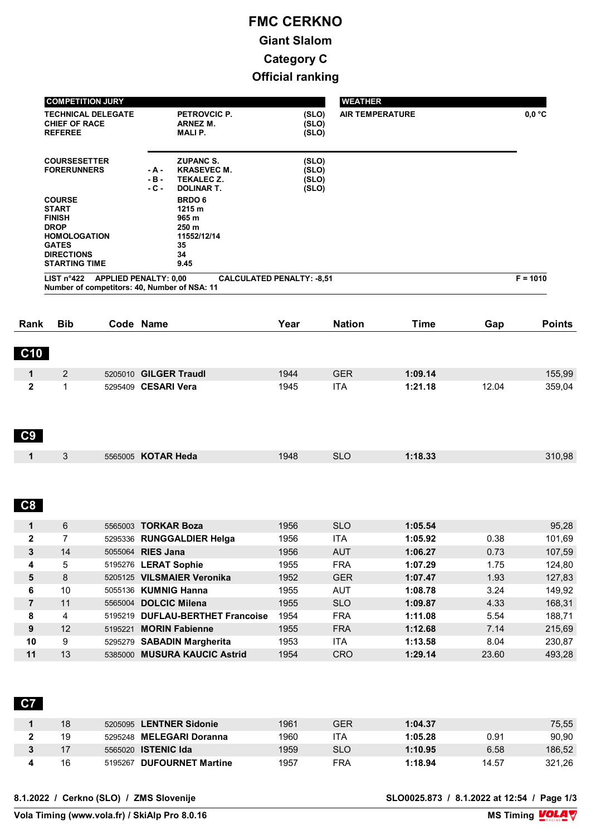|                            | <b>COMPETITION JURY</b>                                                                                                                           |                           |                                                                                                             | <b>WEATHER</b>                   |                          |                    |              |                                                          |
|----------------------------|---------------------------------------------------------------------------------------------------------------------------------------------------|---------------------------|-------------------------------------------------------------------------------------------------------------|----------------------------------|--------------------------|--------------------|--------------|----------------------------------------------------------|
|                            | <b>CHIEF OF RACE</b><br><b>REFEREE</b>                                                                                                            | <b>TECHNICAL DELEGATE</b> | PETROVCIC P.<br><b>ARNEZ M.</b><br><b>MALIP.</b>                                                            | (SLO)<br>(SLO)<br>(SLO)          | <b>AIR TEMPERATURE</b>   |                    |              | $0,0$ °C                                                 |
|                            | <b>COURSESETTER</b><br><b>FORERUNNERS</b>                                                                                                         |                           | <b>ZUPANC S.</b><br><b>KRASEVEC M.</b><br>- A -<br>- B -<br><b>TEKALEC Z.</b><br><b>DOLINAR T.</b><br>- C - | (SLO)<br>(SLO)<br>(SLO)<br>(SLO) |                          |                    |              |                                                          |
|                            | <b>COURSE</b><br><b>START</b><br><b>FINISH</b><br><b>DROP</b><br><b>HOMOLOGATION</b><br><b>GATES</b><br><b>DIRECTIONS</b><br><b>STARTING TIME</b> |                           | <b>BRDO 6</b><br>1215 m<br>965 m<br>250 m<br>11552/12/14<br>35<br>34<br>9.45                                |                                  |                          |                    |              |                                                          |
|                            | LIST $n^{\circ}422$                                                                                                                               |                           | <b>APPLIED PENALTY: 0,00</b><br>Number of competitors: 40, Number of NSA: 11                                | <b>CALCULATED PENALTY: -8,51</b> |                          |                    |              | $F = 1010$                                               |
| Rank                       | <b>Bib</b>                                                                                                                                        |                           | Code Name                                                                                                   | Year                             | <b>Nation</b>            | <b>Time</b>        | Gap          | <b>Points</b>                                            |
| C10                        |                                                                                                                                                   |                           |                                                                                                             |                                  |                          |                    |              |                                                          |
| 1                          | 2                                                                                                                                                 |                           | 5205010 GILGER Traudl                                                                                       | 1944                             | <b>GER</b>               | 1:09.14            |              | 155,99                                                   |
| $\mathbf{2}$               | $\mathbf{1}$                                                                                                                                      |                           | 5295409 CESARI Vera                                                                                         | 1945                             | <b>ITA</b>               | 1:21.18            | 12.04        | 359,04                                                   |
| C9                         |                                                                                                                                                   |                           |                                                                                                             |                                  |                          |                    |              |                                                          |
| 1                          | 3                                                                                                                                                 |                           | 5565005 KOTAR Heda                                                                                          | 1948                             | <b>SLO</b>               | 1:18.33            |              | 310,98                                                   |
| C8                         |                                                                                                                                                   |                           |                                                                                                             |                                  |                          |                    |              |                                                          |
| 1                          | 6                                                                                                                                                 |                           | 5565003 TORKAR Boza                                                                                         | 1956                             | <b>SLO</b>               | 1:05.54            |              | 95,28                                                    |
|                            |                                                                                                                                                   |                           |                                                                                                             |                                  |                          |                    |              |                                                          |
| 2                          | 7                                                                                                                                                 |                           | 5295336 RUNGGALDIER Helga                                                                                   | 1956                             | ITA                      | 1:05.92            | 0.38         | 101,69                                                   |
|                            | 14                                                                                                                                                |                           | 5055064 RIES Jana                                                                                           | 1956                             | AUT                      | 1:06.27            | 0.73         |                                                          |
| 4                          | 5                                                                                                                                                 |                           | 5195276 LERAT Sophie                                                                                        | 1955                             | <b>FRA</b>               | 1:07.29            | 1.75         |                                                          |
| $\mathbf{3}$<br>$\sqrt{5}$ | $\bf 8$                                                                                                                                           |                           | 5205125 VILSMAIER Veronika                                                                                  | 1952                             | <b>GER</b>               | 1:07.47            | 1.93         |                                                          |
| 6                          | $10$                                                                                                                                              |                           | 5055136 KUMNIG Hanna                                                                                        | 1955                             | <b>AUT</b>               | 1:08.78            | 3.24         |                                                          |
| $\overline{\mathbf{7}}$    | 11                                                                                                                                                |                           | 5565004 DOLCIC Milena                                                                                       | 1955                             | <b>SLO</b>               | 1:09.87            | 4.33         |                                                          |
| 8                          | 4                                                                                                                                                 | 5195221                   | 5195219 DUFLAU-BERTHET Francoise                                                                            | 1954                             | <b>FRA</b>               | 1:11.08            | 5.54         | 107,59<br>124,80<br>127,83<br>149,92<br>168,31<br>188,71 |
| 9<br>10                    | 12<br>9                                                                                                                                           |                           | <b>MORIN Fabienne</b><br>5295279 SABADIN Margherita                                                         | 1955<br>1953                     | <b>FRA</b><br><b>ITA</b> | 1:12.68<br>1:13.58 | 7.14<br>8.04 | 215,69<br>230,87                                         |

| 18 | 5205095 LENTNER Sidonie    | 1961 | GER        | 1:04.37 |       | 75,55  |
|----|----------------------------|------|------------|---------|-------|--------|
| 19 | 5295248 MELEGARI Doranna   | 1960 | 'TA        | 1:05.28 | 0.91  | 90,90  |
|    | 5565020 <b>ISTENIC Ida</b> | 1959 | <b>SLO</b> | 1:10.95 | 6.58  | 186,52 |
| 16 | 5195267 DUFOURNET Martine  | 1957 | FRA        | 1:18.94 | 14.57 | 321.26 |

**8.1.2022 / Cerkno (SLO) / ZMS Slovenije SLO0025.873 / 8.1.2022 at 12:54 / Page 1/3**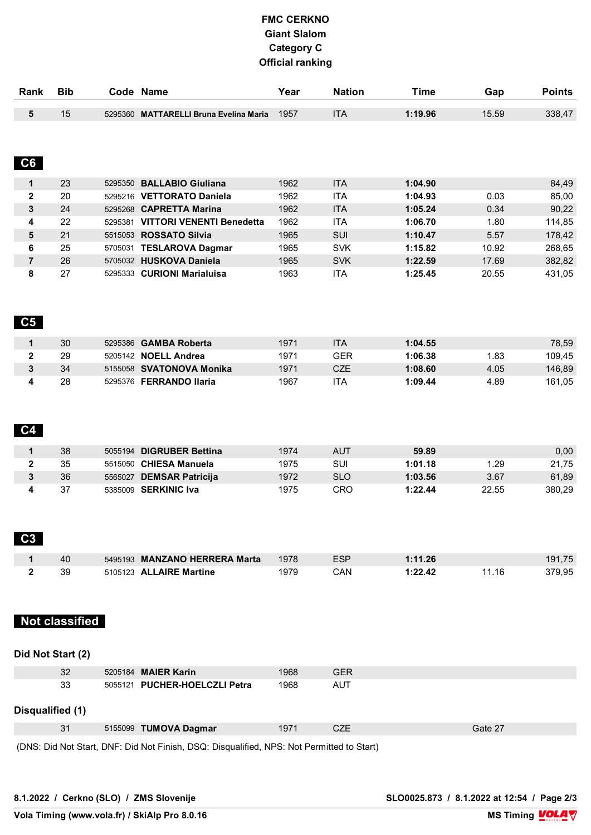| Rank            | <b>Bib</b>            | Code Name                                                                                 | Year | <b>Nation</b> | <b>Time</b> | Gap     | <b>Points</b> |
|-----------------|-----------------------|-------------------------------------------------------------------------------------------|------|---------------|-------------|---------|---------------|
| $5\phantom{.0}$ | 15                    | 5295360 MATTARELLI Bruna Evelina Maria                                                    | 1957 | <b>ITA</b>    | 1:19.96     | 15.59   | 338,47        |
|                 |                       |                                                                                           |      |               |             |         |               |
|                 |                       |                                                                                           |      |               |             |         |               |
| C6              |                       |                                                                                           |      |               |             |         |               |
| $\mathbf{1}$    | 23                    | 5295350 BALLABIO Giuliana                                                                 | 1962 | <b>ITA</b>    | 1:04.90     |         | 84,49         |
| $\overline{2}$  | 20                    | 5295216 VETTORATO Daniela                                                                 | 1962 | <b>ITA</b>    | 1:04.93     | 0.03    | 85,00         |
| $\mathbf{3}$    | 24                    | 5295268 CAPRETTA Marina                                                                   | 1962 | <b>ITA</b>    | 1:05.24     | 0.34    | 90,22         |
| 4               | 22                    | 5295381 VITTORI VENENTI Benedetta                                                         | 1962 | ITA           | 1:06.70     | 1.80    | 114,85        |
| $\sqrt{5}$      | 21                    | 5515053 ROSSATO Silvia                                                                    | 1965 | SUI           | 1:10.47     | 5.57    | 178,42        |
| $\bf 6$         | 25                    | 5705031 TESLAROVA Dagmar                                                                  | 1965 | <b>SVK</b>    | 1:15.82     | 10.92   | 268,65        |
| $\overline{7}$  | 26                    | 5705032 HUSKOVA Daniela                                                                   | 1965 | <b>SVK</b>    | 1:22.59     | 17.69   | 382,82        |
| $\bf8$          | 27                    | 5295333 CURIONI Marialuisa                                                                | 1963 | <b>ITA</b>    | 1:25.45     | 20.55   | 431,05        |
|                 |                       |                                                                                           |      |               |             |         |               |
| C <sub>5</sub>  |                       |                                                                                           |      |               |             |         |               |
| $\mathbf 1$     | 30                    | 5295386 GAMBA Roberta                                                                     | 1971 | <b>ITA</b>    | 1:04.55     |         | 78,59         |
| $\mathbf{2}$    | 29                    | 5205142 NOELL Andrea                                                                      | 1971 | <b>GER</b>    | 1:06.38     | 1.83    | 109,45        |
| $\mathbf 3$     | 34                    | 5155058 SVATONOVA Monika                                                                  | 1971 | CZE           | 1:08.60     | 4.05    | 146,89        |
| 4               | 28                    | 5295376 FERRANDO Ilaria                                                                   | 1967 | <b>ITA</b>    | 1:09.44     | 4.89    | 161,05        |
| C <sub>4</sub>  |                       |                                                                                           |      |               |             |         |               |
| $\mathbf{1}$    | 38                    | 5055194 DIGRUBER Bettina                                                                  | 1974 | <b>AUT</b>    | 59.89       |         | 0,00          |
| $\mathbf{2}$    | 35                    | 5515050 CHIESA Manuela                                                                    | 1975 | SUI           | 1:01.18     | 1.29    | 21,75         |
| $\mathbf{3}$    | 36                    | 5565027 DEMSAR Patricija                                                                  | 1972 | <b>SLO</b>    | 1:03.56     | 3.67    | 61,89         |
| 4               | 37                    | 5385009 SERKINIC Iva                                                                      | 1975 | CRO           | 1:22.44     | 22.55   | 380,29        |
|                 |                       |                                                                                           |      |               |             |         |               |
| C <sub>3</sub>  |                       |                                                                                           |      |               |             |         |               |
| 1               | 40                    | 5495193 MANZANO HERRERA Marta                                                             | 1978 | <b>ESP</b>    | 1:11.26     |         | 191,75        |
| $\mathbf 2$     | 39                    | 5105123 ALLAIRE Martine                                                                   | 1979 | CAN           | 1:22.42     | 11.16   | 379,95        |
|                 | <b>Not classified</b> |                                                                                           |      |               |             |         |               |
|                 | Did Not Start (2)     |                                                                                           |      |               |             |         |               |
|                 | 32                    | 5205184 MAIER Karin                                                                       | 1968 | <b>GER</b>    |             |         |               |
|                 | 33                    | 5055121 PUCHER-HOELCZLI Petra                                                             | 1968 | <b>AUT</b>    |             |         |               |
|                 | Disqualified (1)      |                                                                                           |      |               |             |         |               |
|                 | 31                    | 5155099 TUMOVA Dagmar                                                                     | 1971 | CZE           |             | Gate 27 |               |
|                 |                       | (DNS: Did Not Start, DNF: Did Not Finish, DSQ: Disqualified, NPS: Not Permitted to Start) |      |               |             |         |               |
|                 |                       |                                                                                           |      |               |             |         |               |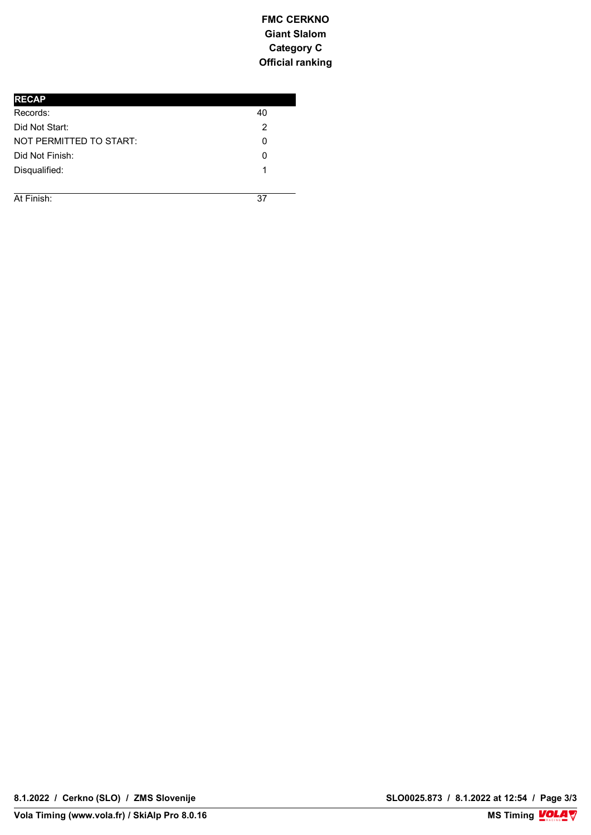| <b>RECAP</b>            |    |
|-------------------------|----|
| Records:                | 40 |
| Did Not Start:          | 2  |
| NOT PERMITTED TO START: | 0  |
| Did Not Finish:         | O  |
| Disqualified:           |    |
|                         |    |

**COURSE BRDO** 6*BRD* **6BRDO 6BRDO 6BRDO 6BRDO 6BRDO** At Finish: 37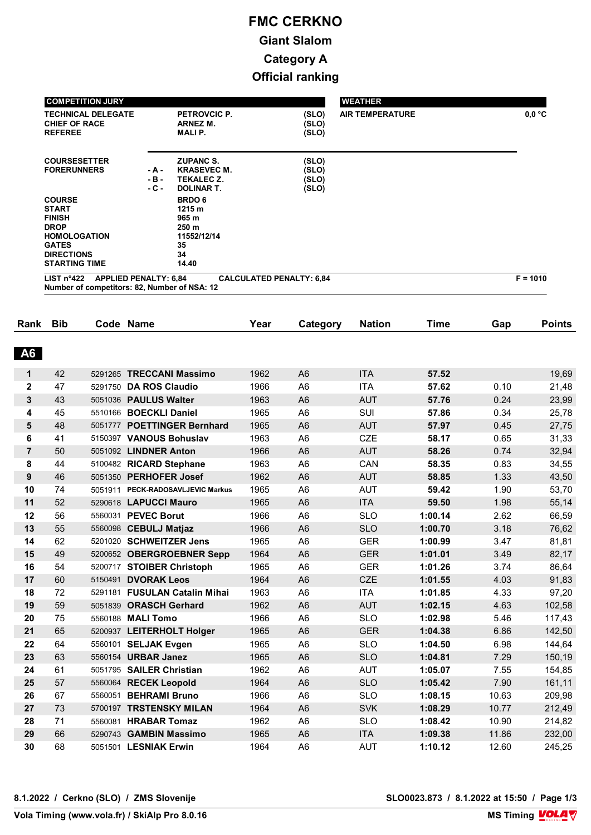| <b>COMPETITION JURY</b>                                                                                                                           |                           |                                                                                  |                                  | <b>WEATHER</b>         |            |
|---------------------------------------------------------------------------------------------------------------------------------------------------|---------------------------|----------------------------------------------------------------------------------|----------------------------------|------------------------|------------|
| <b>TECHNICAL DELEGATE</b><br><b>CHIEF OF RACE</b><br><b>REFEREE</b>                                                                               |                           | PETROVCIC P.<br>ARNEZ M.<br><b>MALIP.</b>                                        | (SLO)<br>(SLO)<br>(SLO)          | <b>AIR TEMPERATURE</b> | 0.0 °C     |
| <b>COURSESETTER</b><br><b>FORERUNNERS</b>                                                                                                         | - A -<br>$-B -$<br>$-C -$ | <b>ZUPANC S.</b><br><b>KRASEVEC M.</b><br><b>TEKALEC Z.</b><br><b>DOLINAR T.</b> | (SLO)<br>(SLO)<br>(SLO)<br>(SLO) |                        |            |
| <b>COURSE</b><br><b>START</b><br><b>FINISH</b><br><b>DROP</b><br><b>HOMOLOGATION</b><br><b>GATES</b><br><b>DIRECTIONS</b><br><b>STARTING TIME</b> |                           | <b>BRDO 6</b><br>1215 m<br>965 m<br>250 m<br>11552/12/14<br>35<br>34<br>14.40    |                                  |                        |            |
| <b>APPLIED PENALTY: 6,84</b><br>LIST $n^{\circ}422$<br>Number of competitors: 82, Number of NSA: 12                                               |                           |                                                                                  | <b>CALCULATED PENALTY: 6,84</b>  |                        | $F = 1010$ |

| Rank           | <b>Bib</b> |         | Code Name                         | Year | Category       | <b>Nation</b> | <b>Time</b> | Gap   | <b>Points</b> |
|----------------|------------|---------|-----------------------------------|------|----------------|---------------|-------------|-------|---------------|
| <b>A6</b>      |            |         |                                   |      |                |               |             |       |               |
|                |            |         |                                   |      |                |               |             |       |               |
| 1              | 42         | 5291265 | <b>TRECCANI Massimo</b>           | 1962 | A <sub>6</sub> | <b>ITA</b>    | 57.52       |       | 19,69         |
| $\mathbf 2$    | 47         | 5291750 | <b>DA ROS Claudio</b>             | 1966 | A <sub>6</sub> | <b>ITA</b>    | 57.62       | 0.10  | 21,48         |
| 3              | 43         |         | 5051036 PAULUS Walter             | 1963 | A <sub>6</sub> | <b>AUT</b>    | 57.76       | 0.24  | 23,99         |
| 4              | 45         |         | 5510166 BOECKLI Daniel            | 1965 | A <sub>6</sub> | SUI           | 57.86       | 0.34  | 25,78         |
| 5              | 48         |         | 5051777 POETTINGER Bernhard       | 1965 | A <sub>6</sub> | <b>AUT</b>    | 57.97       | 0.45  | 27,75         |
| 6              | 41         |         | 5150397 VANOUS Bohuslav           | 1963 | A <sub>6</sub> | <b>CZE</b>    | 58.17       | 0.65  | 31,33         |
| $\overline{7}$ | 50         |         | 5051092 LINDNER Anton             | 1966 | A <sub>6</sub> | <b>AUT</b>    | 58.26       | 0.74  | 32,94         |
| 8              | 44         |         | 5100482 RICARD Stephane           | 1963 | A <sub>6</sub> | CAN           | 58.35       | 0.83  | 34,55         |
| 9              | 46         |         | 5051350 PERHOFER Josef            | 1962 | A <sub>6</sub> | <b>AUT</b>    | 58.85       | 1.33  | 43,50         |
| 10             | 74         |         | 5051911 PECK-RADOSAVLJEVIC Markus | 1965 | A <sub>6</sub> | <b>AUT</b>    | 59.42       | 1.90  | 53,70         |
| 11             | 52         |         | 5290618 LAPUCCI Mauro             | 1965 | A <sub>6</sub> | <b>ITA</b>    | 59.50       | 1.98  | 55,14         |
| 12             | 56         |         | 5560031 PEVEC Borut               | 1966 | A <sub>6</sub> | <b>SLO</b>    | 1:00.14     | 2.62  | 66,59         |
| 13             | 55         |         | 5560098 CEBULJ Matjaz             | 1966 | A <sub>6</sub> | <b>SLO</b>    | 1:00.70     | 3.18  | 76,62         |
| 14             | 62         |         | 5201020 SCHWEITZER Jens           | 1965 | A <sub>6</sub> | <b>GER</b>    | 1:00.99     | 3.47  | 81,81         |
| 15             | 49         |         | 5200652 OBERGROEBNER Sepp         | 1964 | A <sub>6</sub> | <b>GER</b>    | 1:01.01     | 3.49  | 82,17         |
| 16             | 54         |         | 5200717 STOIBER Christoph         | 1965 | A <sub>6</sub> | <b>GER</b>    | 1:01.26     | 3.74  | 86,64         |
| 17             | 60         |         | 5150491 <b>DVORAK Leos</b>        | 1964 | A <sub>6</sub> | <b>CZE</b>    | 1:01.55     | 4.03  | 91,83         |
| 18             | 72         |         | 5291181 FUSULAN Catalin Mihai     | 1963 | A <sub>6</sub> | <b>ITA</b>    | 1:01.85     | 4.33  | 97,20         |
| 19             | 59         | 5051839 | <b>ORASCH Gerhard</b>             | 1962 | A <sub>6</sub> | <b>AUT</b>    | 1:02.15     | 4.63  | 102,58        |
| 20             | 75         |         | 5560188 MALI Tomo                 | 1966 | A <sub>6</sub> | <b>SLO</b>    | 1:02.98     | 5.46  | 117,43        |
| 21             | 65         |         | 5200937 LEITERHOLT Holger         | 1965 | A <sub>6</sub> | <b>GER</b>    | 1:04.38     | 6.86  | 142,50        |
| 22             | 64         |         | 5560101 SELJAK Evgen              | 1965 | A <sub>6</sub> | <b>SLO</b>    | 1:04.50     | 6.98  | 144,64        |
| 23             | 63         |         | 5560154 URBAR Janez               | 1965 | A <sub>6</sub> | <b>SLO</b>    | 1:04.81     | 7.29  | 150,19        |
| 24             | 61         |         | 5051795 SAILER Christian          | 1962 | A <sub>6</sub> | <b>AUT</b>    | 1:05.07     | 7.55  | 154,85        |
| 25             | 57         |         | 5560064 RECEK Leopold             | 1964 | A <sub>6</sub> | <b>SLO</b>    | 1:05.42     | 7.90  | 161,11        |
| 26             | 67         | 5560051 | <b>BEHRAMI Bruno</b>              | 1966 | A <sub>6</sub> | <b>SLO</b>    | 1:08.15     | 10.63 | 209,98        |
| 27             | 73         |         | 5700197 TRSTENSKY MILAN           | 1964 | A <sub>6</sub> | <b>SVK</b>    | 1:08.29     | 10.77 | 212,49        |
| 28             | 71         | 5560081 | <b>HRABAR Tomaz</b>               | 1962 | A <sub>6</sub> | <b>SLO</b>    | 1:08.42     | 10.90 | 214,82        |
| 29             | 66         | 5290743 | <b>GAMBIN Massimo</b>             | 1965 | A <sub>6</sub> | <b>ITA</b>    | 1:09.38     | 11.86 | 232,00        |
| 30             | 68         |         | 5051501 LESNIAK Erwin             | 1964 | A <sub>6</sub> | <b>AUT</b>    | 1:10.12     | 12.60 | 245,25        |

**MS Timing VOLA V**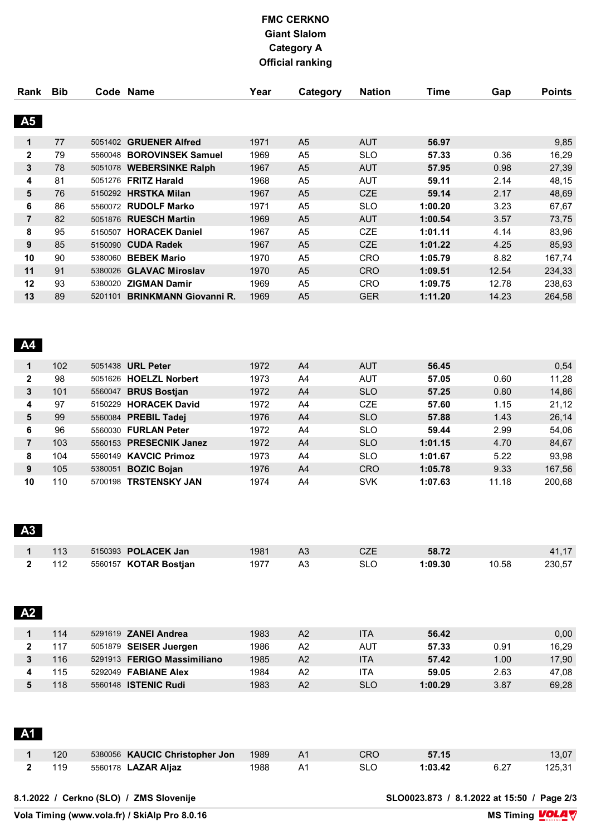| Rank           | <b>Bib</b> |         | Code Name                    | Year | Category       | <b>Nation</b> | <b>Time</b> | Gap   | <b>Points</b> |
|----------------|------------|---------|------------------------------|------|----------------|---------------|-------------|-------|---------------|
|                |            |         |                              |      |                |               |             |       |               |
| A5             |            |         |                              |      |                |               |             |       |               |
| 1              | 77         | 5051402 | <b>GRUENER Alfred</b>        | 1971 | A <sub>5</sub> | <b>AUT</b>    | 56.97       |       | 9,85          |
| $\mathbf{2}$   | 79         | 5560048 | <b>BOROVINSEK Samuel</b>     | 1969 | A <sub>5</sub> | <b>SLO</b>    | 57.33       | 0.36  | 16,29         |
| 3              | 78         | 5051078 | <b>WEBERSINKE Ralph</b>      | 1967 | A <sub>5</sub> | <b>AUT</b>    | 57.95       | 0.98  | 27,39         |
| 4              | 81         |         | 5051276 FRITZ Harald         | 1968 | A <sub>5</sub> | <b>AUT</b>    | 59.11       | 2.14  | 48,15         |
| 5              | 76         |         | 5150292 HRSTKA Milan         | 1967 | A <sub>5</sub> | <b>CZE</b>    | 59.14       | 2.17  | 48,69         |
| 6              | 86         | 5560072 | <b>RUDOLF Marko</b>          | 1971 | A <sub>5</sub> | <b>SLO</b>    | 1:00.20     | 3.23  | 67,67         |
| $\overline{7}$ | 82         | 5051876 | <b>RUESCH Martin</b>         | 1969 | A <sub>5</sub> | <b>AUT</b>    | 1:00.54     | 3.57  | 73,75         |
| 8              | 95         | 5150507 | <b>HORACEK Daniel</b>        | 1967 | A <sub>5</sub> | <b>CZE</b>    | 1:01.11     | 4.14  | 83,96         |
| 9              | 85         | 5150090 | <b>CUDA Radek</b>            | 1967 | A <sub>5</sub> | CZE           | 1:01.22     | 4.25  | 85,93         |
| 10             | 90         | 5380060 | <b>BEBEK Mario</b>           | 1970 | A <sub>5</sub> | <b>CRO</b>    | 1:05.79     | 8.82  | 167,74        |
| 11             | 91         | 5380026 | <b>GLAVAC Miroslav</b>       | 1970 | A <sub>5</sub> | <b>CRO</b>    | 1:09.51     | 12.54 | 234,33        |
| 12             | 93         | 5380020 | <b>ZIGMAN Damir</b>          | 1969 | A <sub>5</sub> | <b>CRO</b>    | 1:09.75     | 12.78 | 238,63        |
| 13             | 89         | 5201101 | <b>BRINKMANN Giovanni R.</b> | 1969 | A <sub>5</sub> | <b>GER</b>    | 1:11.20     | 14.23 | 264,58        |
|                |            |         |                              |      |                |               |             |       |               |

### **A4**

| 1            | 102 |         | 5051438 <b>URL Peter</b> | 1972 | A <sub>4</sub> | <b>AUT</b> | 56.45   |       | 0,54   |
|--------------|-----|---------|--------------------------|------|----------------|------------|---------|-------|--------|
| $\mathbf{2}$ | 98  | 5051626 | <b>HOELZL Norbert</b>    | 1973 | A4             | <b>AUT</b> | 57.05   | 0.60  | 11,28  |
| 3            | 101 | 5560047 | <b>BRUS Bostian</b>      | 1972 | A <sub>4</sub> | <b>SLO</b> | 57.25   | 0.80  | 14,86  |
| 4            | 97  | 5150229 | <b>HORACEK David</b>     | 1972 | A4             | <b>CZE</b> | 57.60   | 1.15  | 21,12  |
| 5            | 99  |         | 5560084 PREBIL Tadej     | 1976 | A <sub>4</sub> | <b>SLO</b> | 57.88   | 1.43  | 26,14  |
| 6            | 96  |         | 5560030 FURLAN Peter     | 1972 | A4             | <b>SLO</b> | 59.44   | 2.99  | 54,06  |
|              | 103 |         | 5560153 PRESECNIK Janez  | 1972 | A <sub>4</sub> | <b>SLO</b> | 1:01.15 | 4.70  | 84,67  |
| 8            | 104 |         | 5560149 KAVCIC Primoz    | 1973 | A4             | <b>SLO</b> | 1:01.67 | 5.22  | 93.98  |
| 9            | 105 | 5380051 | <b>BOZIC Bojan</b>       | 1976 | A4             | <b>CRO</b> | 1:05.78 | 9.33  | 167,56 |
| 10           | 110 | 5700198 | <b>TRSTENSKY JAN</b>     | 1974 | A4             | <b>SVK</b> | 1:07.63 | 11.18 | 200.68 |

# **A3**

**A** 

|     | 5150393 <b>POLACEK Jan</b>   | 1981 | A3 |     | 58.72   |       |        |
|-----|------------------------------|------|----|-----|---------|-------|--------|
| 112 | 5560157 <b>KOTAR Bostjan</b> | 1977 | A3 | SLC | 1:09.30 | 10.58 | 230.57 |

| A2 |     |                             |      |    |            |         |      |       |
|----|-----|-----------------------------|------|----|------------|---------|------|-------|
|    | 114 | 5291619 <b>ZANEI Andrea</b> | 1983 | A2 | <b>ITA</b> | 56.42   |      | 0,00  |
|    | 117 | 5051879 SEISER Juergen      | 1986 | A2 | <b>AUT</b> | 57.33   | 0.91 | 16,29 |
|    | 116 | 5291913 FERIGO Massimiliano | 1985 | A2 | <b>ITA</b> | 57.42   | 1.00 | 17,90 |
|    | 115 | 5292049 <b>FABIANE Alex</b> | 1984 | A2 | ITA        | 59.05   | 2.63 | 47,08 |
|    | 118 | 5560148 <b>ISTENIC Rudi</b> | 1983 | A2 | <b>SLO</b> | 1:00.29 | 3.87 | 69,28 |
|    |     |                             |      |    |            |         |      |       |

| <b>A</b> <sup>1</sup> |     |                                |      |                |            |         |      |        |
|-----------------------|-----|--------------------------------|------|----------------|------------|---------|------|--------|
|                       | 120 | 5380056 KAUCIC Christopher Jon | 1989 | A <sub>1</sub> | <b>CRO</b> | 57.15   |      | 13,07  |
|                       | 119 | 5560178 <b>LAZAR Aljaz</b>     | 1988 | A1             | SLO        | 1:03.42 | 6.27 | 125,31 |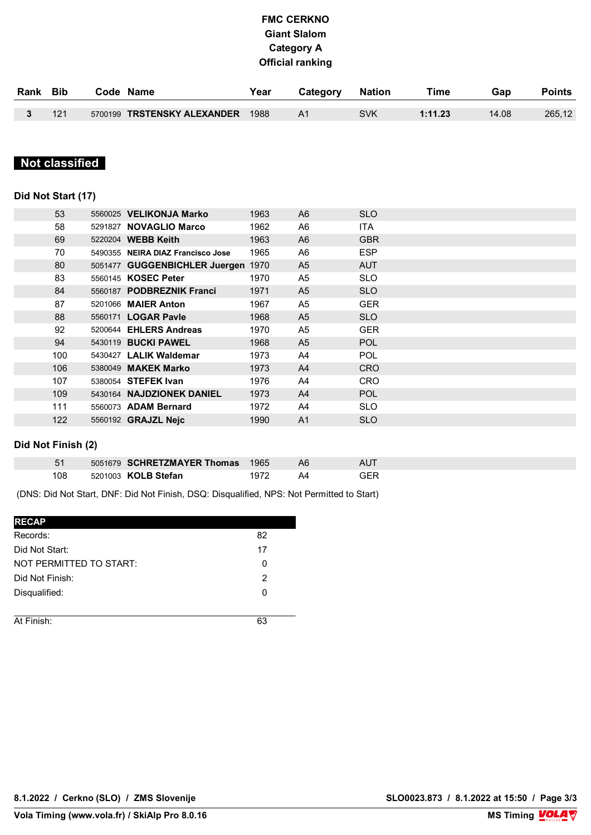| Rank Bib |     | Code Name                        | Year | Category       | Nation     | Time    | Gap   | Points |
|----------|-----|----------------------------------|------|----------------|------------|---------|-------|--------|
|          | 121 | 5700199 TRSTENSKY ALEXANDER 1988 |      | A <sub>1</sub> | <b>SVK</b> | 1:11.23 | 14.08 | 265,12 |

#### **Classified Not classified**

### **Did Not Start (17)**

| 53  | 5560025 VELIKONJA Marko            | 1963 | A <sub>6</sub> | <b>SLO</b> |
|-----|------------------------------------|------|----------------|------------|
| 58  | 5291827 NOVAGLIO Marco             | 1962 | A6             | <b>ITA</b> |
| 69  | 5220204 WEBB Keith                 | 1963 | A <sub>6</sub> | <b>GBR</b> |
| 70  | 5490355 NEIRA DIAZ Francisco Jose  | 1965 | A6             | <b>ESP</b> |
| 80  | 5051477 GUGGENBICHLER Juergen 1970 |      | A <sub>5</sub> | <b>AUT</b> |
| 83  | 5560145 KOSEC Peter                | 1970 | A <sub>5</sub> | <b>SLO</b> |
| 84  | 5560187 PODBREZNIK Franci          | 1971 | A <sub>5</sub> | <b>SLO</b> |
| 87  | 5201066 MAIER Anton                | 1967 | A <sub>5</sub> | <b>GER</b> |
| 88  | 5560171 <b>LOGAR Pavle</b>         | 1968 | A <sub>5</sub> | <b>SLO</b> |
| 92  | 5200644 EHLERS Andreas             | 1970 | A <sub>5</sub> | <b>GER</b> |
| 94  | 5430119 <b>BUCKI PAWEL</b>         | 1968 | A <sub>5</sub> | <b>POL</b> |
| 100 | 5430427 LALIK Waldemar             | 1973 | A4             | <b>POL</b> |
| 106 | 5380049 MAKEK Marko                | 1973 | A <sup>4</sup> | <b>CRO</b> |
| 107 | 5380054 <b>STEFEK Ivan</b>         | 1976 | A4             | <b>CRO</b> |
| 109 | 5430164 NAJDZIONEK DANIEL          | 1973 | A <sup>4</sup> | <b>POL</b> |
| 111 | 5560073 ADAM Bernard               | 1972 | A4             | <b>SLO</b> |
| 122 | 5560192 <b>GRAJZL Neic</b>         | 1990 | A <sub>1</sub> | <b>SLO</b> |
|     |                                    |      |                |            |

#### **Did Not Finish (2)**

|     | 5051679 <b>SCHRETZMAYER Thomas</b> 1965 |      |     |
|-----|-----------------------------------------|------|-----|
| 108 | 5201003 KOLB Stefan                     | 1972 | GFR |

(DNS: Did Not Start, DNF: Did Not Finish, DSQ: Disqualified, NPS: Not Permitted to Start)

| <b>RECAP</b>            |    |
|-------------------------|----|
| Records:                | 82 |
| Did Not Start:          | 17 |
| NOT PERMITTED TO START: | 0  |
| Did Not Finish:         | 2  |
| Disqualified:           | 0  |
|                         |    |
| At Finish:              | 63 |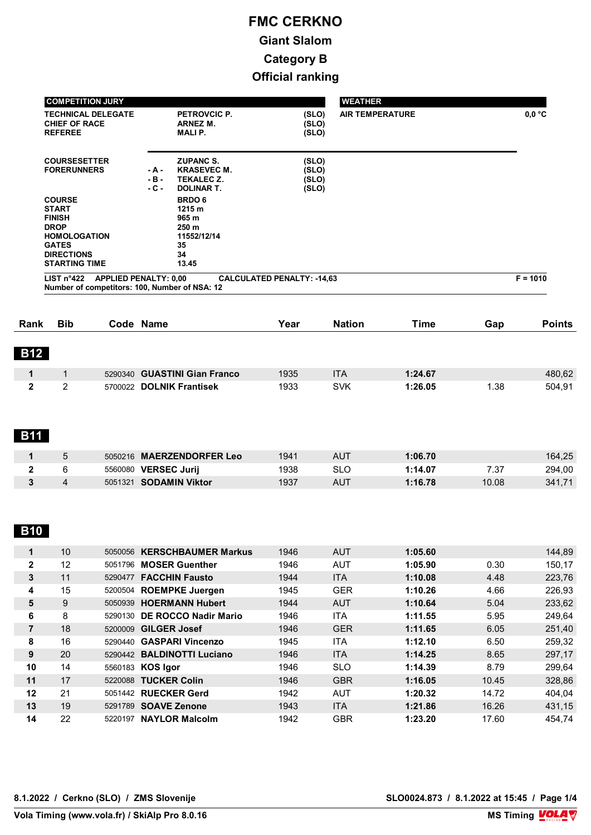|              | <b>COMPETITION JURY</b>                                                                                                                           |                                                                                                        |                                   | <b>WEATHER</b>         |             |       |                 |
|--------------|---------------------------------------------------------------------------------------------------------------------------------------------------|--------------------------------------------------------------------------------------------------------|-----------------------------------|------------------------|-------------|-------|-----------------|
|              | <b>TECHNICAL DELEGATE</b><br><b>CHIEF OF RACE</b><br><b>REFEREE</b>                                                                               | PETROVCIC P.<br>ARNEZ M.<br>MALI P.                                                                    | (SLO)<br>(SLO)<br>(SLO)           | <b>AIR TEMPERATURE</b> |             |       | $0,0\text{ °C}$ |
|              | <b>COURSESETTER</b><br><b>FORERUNNERS</b>                                                                                                         | <b>ZUPANC S.</b><br><b>KRASEVEC M.</b><br>- A -<br>$-B -$<br>TEKALEC Z.<br>$-C -$<br><b>DOLINAR T.</b> | (SLO)<br>(SLO)<br>(SLO)<br>(SLO)  |                        |             |       |                 |
|              | <b>COURSE</b><br><b>START</b><br><b>FINISH</b><br><b>DROP</b><br><b>HOMOLOGATION</b><br><b>GATES</b><br><b>DIRECTIONS</b><br><b>STARTING TIME</b> | <b>BRDO6</b><br>1215 m<br>965 m<br>250 m<br>11552/12/14<br>35<br>34<br>13.45                           |                                   |                        |             |       |                 |
|              | LIST n <sup>°</sup> 422                                                                                                                           | <b>APPLIED PENALTY: 0,00</b><br>Number of competitors: 100, Number of NSA: 12                          | <b>CALCULATED PENALTY: -14,63</b> |                        |             |       | $F = 1010$      |
|              |                                                                                                                                                   |                                                                                                        |                                   |                        |             |       |                 |
| Rank         | <b>Bib</b>                                                                                                                                        | Code Name                                                                                              | Year                              | <b>Nation</b>          | <b>Time</b> | Gap   | <b>Points</b>   |
| <b>B12</b>   |                                                                                                                                                   |                                                                                                        |                                   |                        |             |       |                 |
| $\mathbf 1$  | $\mathbf{1}$                                                                                                                                      | 5290340 GUASTINI Gian Franco                                                                           | 1935                              | <b>ITA</b>             | 1:24.67     |       | 480,62          |
| $\mathbf{2}$ | 2                                                                                                                                                 | 5700022 DOLNIK Frantisek                                                                               | 1933                              | <b>SVK</b>             | 1:26.05     | 1.38  | 504,91          |
| <b>B11</b>   |                                                                                                                                                   |                                                                                                        |                                   |                        |             |       |                 |
| $\mathbf 1$  | 5                                                                                                                                                 | 5050216 MAERZENDORFER Leo                                                                              | 1941                              | <b>AUT</b>             | 1:06.70     |       | 164,25          |
| 2            | 6                                                                                                                                                 | 5560080 VERSEC Jurij                                                                                   | 1938                              | <b>SLO</b>             | 1:14.07     | 7.37  | 294,00          |
| 3            | $\overline{4}$                                                                                                                                    | 5051321 SODAMIN Viktor                                                                                 | 1937                              | <b>AUT</b>             | 1:16.78     | 10.08 | 341,71          |
| B10          |                                                                                                                                                   |                                                                                                        |                                   |                        |             |       |                 |
| 1            | $10$                                                                                                                                              | 5050056 KERSCHBAUMER Markus                                                                            | 1946                              | <b>AUT</b>             | 1:05.60     |       | 144,89          |
| $\mathbf 2$  | 12                                                                                                                                                | 5051796 MOSER Guenther                                                                                 | 1946                              | <b>AUT</b>             | 1:05.90     | 0.30  | 150,17          |
| 3            | 11                                                                                                                                                | 5290477 FACCHIN Fausto                                                                                 | 1944                              | <b>ITA</b>             | 1:10.08     | 4.48  | 223,76          |
| 4            | 15                                                                                                                                                | 5200504 ROEMPKE Juergen                                                                                | 1945                              | <b>GER</b>             | 1:10.26     | 4.66  | 226,93          |
| 5            | 9                                                                                                                                                 | 5050939 HOERMANN Hubert                                                                                | 1944                              | <b>AUT</b>             | 1:10.64     | 5.04  | 233,62          |
| 6            | 8                                                                                                                                                 | 5290130 DE ROCCO Nadir Mario                                                                           | 1946                              | <b>ITA</b>             | 1:11.55     | 5.95  | 249,64          |

| 6  | 8  | 5290130 DE ROCCO Nadir Mario       | 1946 | <b>ITA</b> | 1:11.55 | 5.95  | 249.64 |
|----|----|------------------------------------|------|------------|---------|-------|--------|
|    | 18 | 5200009 GILGER Josef               | 1946 | <b>GER</b> | 1:11.65 | 6.05  | 251,40 |
| 8  | 16 | <b>GASPARI Vincenzo</b><br>5290440 | 1945 | <b>ITA</b> | 1:12.10 | 6.50  | 259,32 |
| 9  | 20 | 5290442 BALDINOTTI Luciano         | 1946 | <b>ITA</b> | 1:14.25 | 8.65  | 297,17 |
| 10 | 14 | 5560183 KOS Igor                   | 1946 | <b>SLO</b> | 1:14.39 | 8.79  | 299.64 |
| 11 | 17 | 5220088 TUCKER Colin               | 1946 | <b>GBR</b> | 1:16.05 | 10.45 | 328,86 |
| 12 | 21 | 5051442 RUECKER Gerd               | 1942 | <b>AUT</b> | 1:20.32 | 14.72 | 404,04 |
| 13 | 19 | 5291789 <b>SOAVE Zenone</b>        | 1943 | <b>ITA</b> | 1:21.86 | 16.26 | 431,15 |
| 14 | 22 | <b>NAYLOR Malcolm</b><br>5220197   | 1942 | GBR        | 1:23.20 | 17.60 | 454.74 |

**8.1.2022 / Cerkno (SLO) / ZMS Slovenije SLO0024.873 / 8.1.2022 at 15:45 / Page 1/4**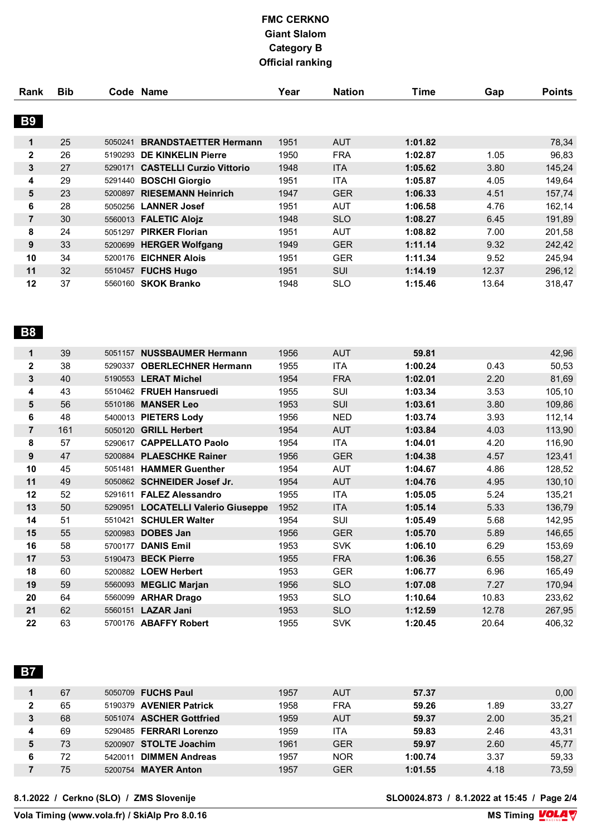| Rank             | <b>Bib</b> |         | Code Name                        | Year | <b>Nation</b> | Time    | Gap   | <b>Points</b> |
|------------------|------------|---------|----------------------------------|------|---------------|---------|-------|---------------|
|                  |            |         |                                  |      |               |         |       |               |
| <b>B9</b>        |            |         |                                  |      |               |         |       |               |
| $\mathbf 1$      | 25         | 5050241 | <b>BRANDSTAETTER Hermann</b>     | 1951 | <b>AUT</b>    | 1:01.82 |       | 78,34         |
| $\mathbf{2}$     | 26         |         | 5190293 DE KINKELIN Pierre       | 1950 | <b>FRA</b>    | 1:02.87 | 1.05  | 96,83         |
| 3                | 27         |         | 5290171 CASTELLI Curzio Vittorio | 1948 | <b>ITA</b>    | 1:05.62 | 3.80  | 145,24        |
| 4                | 29         |         | 5291440 BOSCHI Giorgio           | 1951 | <b>ITA</b>    | 1:05.87 | 4.05  | 149,64        |
| 5                | 23         |         | 5200897 RIESEMANN Heinrich       | 1947 | <b>GER</b>    | 1:06.33 | 4.51  | 157,74        |
| 6                | 28         |         | 5050256 LANNER Josef             | 1951 | <b>AUT</b>    | 1:06.58 | 4.76  | 162,14        |
| $\overline{7}$   | 30         |         | 5560013 FALETIC Alojz            | 1948 | <b>SLO</b>    | 1:08.27 | 6.45  | 191,89        |
| 8                | 24         |         | 5051297 PIRKER Florian           | 1951 | <b>AUT</b>    | 1:08.82 | 7.00  | 201,58        |
| $\boldsymbol{9}$ | 33         |         | 5200699 HERGER Wolfgang          | 1949 | <b>GER</b>    | 1:11.14 | 9.32  | 242,42        |
| 10               | 34         |         | 5200176 EICHNER Alois            | 1951 | <b>GER</b>    | 1:11.34 | 9.52  | 245,94        |
| 11               | 32         |         | 5510457 FUCHS Hugo               | 1951 | <b>SUI</b>    | 1:14.19 | 12.37 | 296,12        |
| 12               | 37         |         | 5560160 SKOK Branko              | 1948 | <b>SLO</b>    | 1:15.46 | 13.64 | 318,47        |
| <b>B8</b>        |            |         |                                  |      |               |         |       |               |
| $\mathbf 1$      | 39         |         | 5051157 NUSSBAUMER Hermann       | 1956 | <b>AUT</b>    | 59.81   |       | 42,96         |
| $\mathbf 2$      | 38         |         | 5290337 OBERLECHNER Hermann      | 1955 | <b>ITA</b>    | 1:00.24 | 0.43  | 50,53         |
| 3                | 40         |         | 5190553 LERAT Michel             | 1954 | <b>FRA</b>    | 1:02.01 | 2.20  | 81,69         |
| 4                | 43         |         | 5510462 FRUEH Hansruedi          | 1955 | SUI           | 1:03.34 | 3.53  | 105,10        |
| 5                | 56         |         | 5510186 MANSER Leo               | 1953 | SUI           | 1:03.61 | 3.80  | 109,86        |
| 6                | 48         |         | 5400013 PIETERS Lody             | 1956 | <b>NED</b>    | 1:03.74 | 3.93  | 112,14        |
| $\overline{7}$   | 161        |         | 5050120 GRILL Herbert            | 1954 | <b>AUT</b>    | 1:03.84 | 4.03  | 113,90        |
| 8                | 57         |         | 5290617 CAPPELLATO Paolo         | 1954 | <b>ITA</b>    | 1:04.01 | 4.20  | 116,90        |
| 9                | 47         |         | 5200884 PLAESCHKE Rainer         | 1956 | <b>GER</b>    | 1:04.38 | 4.57  | 123,41        |

|    | .  |         |                                    | .    | $\cdots$   |         | $\sim$ | $\cdots$ |
|----|----|---------|------------------------------------|------|------------|---------|--------|----------|
| 8  | 57 | 5290617 | <b>CAPPELLATO Paolo</b>            | 1954 | <b>ITA</b> | 1:04.01 | 4.20   | 116,90   |
| 9  | 47 |         | 5200884 PLAESCHKE Rainer           | 1956 | <b>GER</b> | 1:04.38 | 4.57   | 123,41   |
| 10 | 45 |         | 5051481 HAMMER Guenther            | 1954 | <b>AUT</b> | 1:04.67 | 4.86   | 128,52   |
| 11 | 49 |         | 5050862 <b>SCHNEIDER Josef Jr.</b> | 1954 | <b>AUT</b> | 1:04.76 | 4.95   | 130,10   |
| 12 | 52 |         | 5291611 FALEZ Alessandro           | 1955 | <b>ITA</b> | 1:05.05 | 5.24   | 135,21   |
| 13 | 50 |         | 5290951 LOCATELLI Valerio Giuseppe | 1952 | <b>ITA</b> | 1:05.14 | 5.33   | 136,79   |
| 14 | 51 | 5510421 | <b>SCHULER Walter</b>              | 1954 | <b>SUI</b> | 1:05.49 | 5.68   | 142,95   |
| 15 | 55 |         | 5200983 <b>DOBES Jan</b>           | 1956 | <b>GER</b> | 1:05.70 | 5.89   | 146,65   |
| 16 | 58 | 5700177 | <b>DANIS Emil</b>                  | 1953 | <b>SVK</b> | 1:06.10 | 6.29   | 153.69   |
| 17 | 53 |         | 5190473 BECK Pierre                | 1955 | <b>FRA</b> | 1:06.36 | 6.55   | 158,27   |
| 18 | 60 |         | 5200882 LOEW Herbert               | 1953 | <b>GER</b> | 1:06.77 | 6.96   | 165.49   |
| 19 | 59 |         | 5560093 MEGLIC Marjan              | 1956 | <b>SLO</b> | 1:07.08 | 7.27   | 170,94   |
| 20 | 64 | 5560099 | <b>ARHAR Drago</b>                 | 1953 | <b>SLO</b> | 1:10.64 | 10.83  | 233.62   |
| 21 | 62 |         | 5560151 <b>LAZAR Jani</b>          | 1953 | <b>SLO</b> | 1:12.59 | 12.78  | 267,95   |
| 22 | 63 |         | 5700176 ABAFFY Robert              | 1955 | <b>SVK</b> | 1:20.45 | 20.64  | 406.32   |
|    |    |         |                                    |      |            |         |        |          |

 **B7** 

|   | 67 | 5050709 FUCHS Paul               | 1957 | <b>AUT</b> | 57.37   |      | 0,00  |
|---|----|----------------------------------|------|------------|---------|------|-------|
|   | 65 | 5190379 AVENIER Patrick          | 1958 | <b>FRA</b> | 59.26   | 1.89 | 33,27 |
| 3 | 68 | 5051074 ASCHER Gottfried         | 1959 | AUT        | 59.37   | 2.00 | 35,21 |
| 4 | 69 | 5290485 FERRARI Lorenzo          | 1959 | <b>ITA</b> | 59.83   | 2.46 | 43,31 |
| 5 | 73 | 5200907 STOLTE Joachim           | 1961 | <b>GER</b> | 59.97   | 2.60 | 45,77 |
|   | 72 | <b>DIMMEN Andreas</b><br>5420011 | 1957 | <b>NOR</b> | 1:00.74 | 3.37 | 59,33 |
|   | 75 | 5200754 MAYER Anton              | 1957 | <b>GER</b> | 1:01.55 | 4.18 | 73,59 |

**8.1.2022 / Cerkno (SLO) / ZMS Slovenije SLO0024.873 / 8.1.2022 at 15:45 / Page 2/4**

 $\overline{\text{Vola}$  Timing (www.vola.fr) / SkiAlp Pro 8.0.16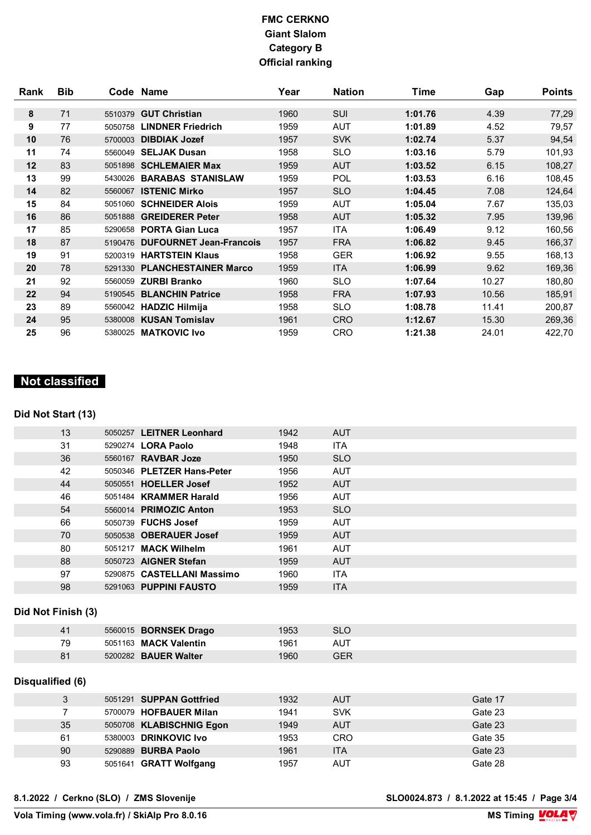| Rank | <b>Bib</b> |         | Code Name                      | Year | <b>Nation</b> | Time    | Gap   | <b>Points</b> |
|------|------------|---------|--------------------------------|------|---------------|---------|-------|---------------|
|      |            |         |                                |      |               |         |       |               |
| 8    | 71         | 5510379 | <b>GUT Christian</b>           | 1960 | SUI           | 1:01.76 | 4.39  | 77,29         |
| 9    | 77         | 5050758 | <b>LINDNER Friedrich</b>       | 1959 | AUT           | 1:01.89 | 4.52  | 79,57         |
| 10   | 76         | 5700003 | <b>DIBDIAK Jozef</b>           | 1957 | <b>SVK</b>    | 1:02.74 | 5.37  | 94,54         |
| 11   | 74         | 5560049 | <b>SELJAK Dusan</b>            | 1958 | <b>SLO</b>    | 1:03.16 | 5.79  | 101,93        |
| 12   | 83         |         | 5051898 SCHLEMAIER Max         | 1959 | <b>AUT</b>    | 1:03.52 | 6.15  | 108,27        |
| 13   | 99         | 5430026 | <b>BARABAS STANISLAW</b>       | 1959 | POL           | 1:03.53 | 6.16  | 108,45        |
| 14   | 82         | 5560067 | <b>ISTENIC Mirko</b>           | 1957 | <b>SLO</b>    | 1:04.45 | 7.08  | 124,64        |
| 15   | 84         |         | 5051060 SCHNEIDER Alois        | 1959 | AUT           | 1:05.04 | 7.67  | 135,03        |
| 16   | 86         |         | 5051888 GREIDERER Peter        | 1958 | <b>AUT</b>    | 1:05.32 | 7.95  | 139,96        |
| 17   | 85         | 5290658 | <b>PORTA Gian Luca</b>         | 1957 | <b>ITA</b>    | 1:06.49 | 9.12  | 160,56        |
| 18   | 87         | 5190476 | <b>DUFOURNET Jean-Francois</b> | 1957 | <b>FRA</b>    | 1:06.82 | 9.45  | 166,37        |
| 19   | 91         | 5200319 | <b>HARTSTEIN Klaus</b>         | 1958 | <b>GER</b>    | 1:06.92 | 9.55  | 168,13        |
| 20   | 78         |         | 5291330 PLANCHESTAINER Marco   | 1959 | <b>ITA</b>    | 1:06.99 | 9.62  | 169,36        |
| 21   | 92         | 5560059 | <b>ZURBI Branko</b>            | 1960 | <b>SLO</b>    | 1:07.64 | 10.27 | 180,80        |
| 22   | 94         | 5190545 | <b>BLANCHIN Patrice</b>        | 1958 | <b>FRA</b>    | 1:07.93 | 10.56 | 185,91        |
| 23   | 89         |         | 5560042 HADZIC Hilmija         | 1958 | <b>SLO</b>    | 1:08.78 | 11.41 | 200,87        |
| 24   | 95         |         | 5380008 KUSAN Tomislav         | 1961 | <b>CRO</b>    | 1:12.67 | 15.30 | 269,36        |
| 25   | 96         |         | 5380025 MATKOVIC Ivo           | 1959 | <b>CRO</b>    | 1:21.38 | 24.01 | 422,70        |

# **Not classified**

#### **Did Not Start (13)**

| 13 | 5050257 LEITNER Leonhard   | 1942 | <b>AUT</b> |  |
|----|----------------------------|------|------------|--|
| 31 | 5290274 <b>LORA Paolo</b>  | 1948 | <b>ITA</b> |  |
| 36 | 5560167 <b>RAVBAR Joze</b> | 1950 | <b>SLO</b> |  |
| 42 | 5050346 PLETZER Hans-Peter | 1956 | <b>AUT</b> |  |
| 44 | 5050551 HOELLER Josef      | 1952 | <b>AUT</b> |  |
| 46 | 5051484 KRAMMER Harald     | 1956 | <b>AUT</b> |  |
| 54 | 5560014 PRIMOZIC Anton     | 1953 | <b>SLO</b> |  |
| 66 | 5050739 FUCHS Josef        | 1959 | <b>AUT</b> |  |
| 70 | 5050538 OBERAUER Josef     | 1959 | <b>AUT</b> |  |
| 80 | 5051217 MACK Wilhelm       | 1961 | <b>AUT</b> |  |
| 88 | 5050723 AIGNER Stefan      | 1959 | <b>AUT</b> |  |
| 97 | 5290875 CASTELLANI Massimo | 1960 | <b>ITA</b> |  |
| 98 | 5291063 PUPPINI FAUSTO     | 1959 | <b>ITA</b> |  |
|    |                            |      |            |  |

#### **Did Not Finish (3)**

| 41 | 5560015 <b>BORNSEK Drago</b> | 1953 | <b>SLC</b> |
|----|------------------------------|------|------------|
| 79 | 5051163 MACK Valentin        | 1961 | AUT        |
| 81 | 5200282 <b>BAUER Walter</b>  | 1960 | GER        |

#### **Disqualified (6)**

| 3  | 5051291 SUPPAN Gottfried | 1932 | <b>AUT</b> | Gate 17 |
|----|--------------------------|------|------------|---------|
|    | 5700079 HOFBAUER Milan   | 1941 | <b>SVK</b> | Gate 23 |
| 35 | 5050708 KLABISCHNIG Egon | 1949 | <b>AUT</b> | Gate 23 |
| 61 | 5380003 DRINKOVIC Ivo    | 1953 | CRO        | Gate 35 |
| 90 | 5290889 BURBA Paolo      | 1961 | <b>ITA</b> | Gate 23 |
| 93 | 5051641 GRATT Wolfgang   | 1957 | <b>AUT</b> | Gate 28 |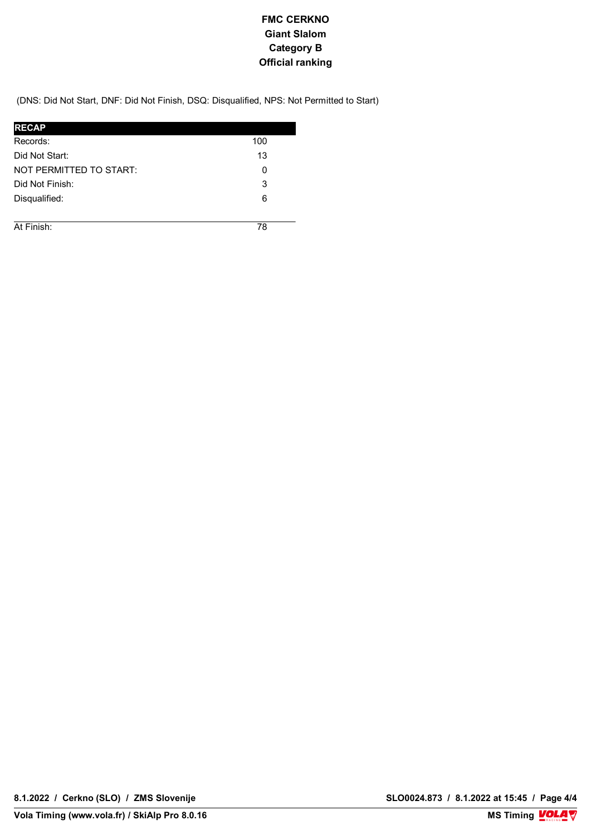(DNS: Did Not Start, DNF: Did Not Finish, DSQ: Disqualified, NPS: Not Permitted to Start)

| <b>RECAP</b>            |     |
|-------------------------|-----|
| Records:                | 100 |
| Did Not Start:          | 13  |
| NOT PERMITTED TO START: | 0   |
| Did Not Finish:         | 3   |
| Disqualified:           | 6   |
|                         |     |
| At Finish:              | 78  |

**8.1.2022 / Cerkno (SLO) / ZMS Slovenije SLO0024.873 / 8.1.2022 at 15:45 / Page 4/4**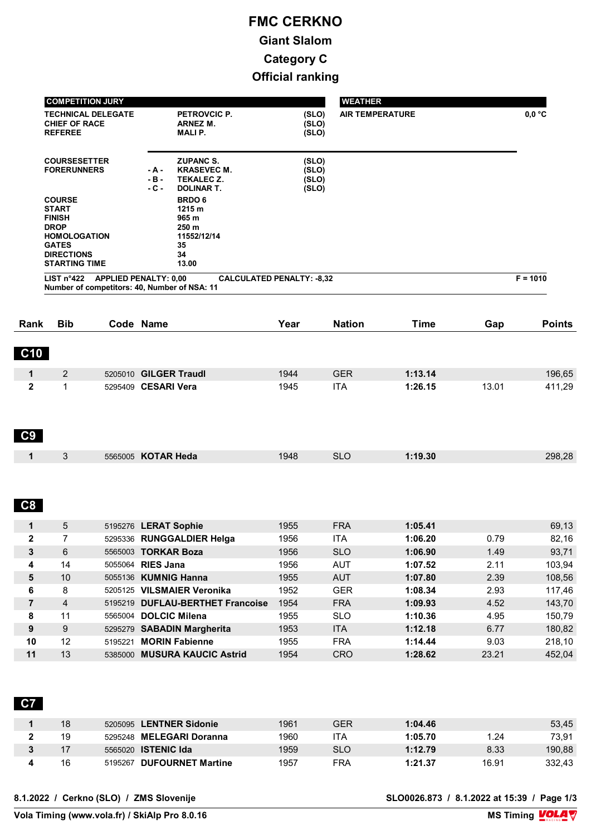|                    | <b>COMPETITION JURY</b>                                                                                                                           |                           |                                                                                                       |                                  | <b>WEATHER</b>           |                    |               |                  |
|--------------------|---------------------------------------------------------------------------------------------------------------------------------------------------|---------------------------|-------------------------------------------------------------------------------------------------------|----------------------------------|--------------------------|--------------------|---------------|------------------|
|                    | <b>CHIEF OF RACE</b><br><b>REFEREE</b>                                                                                                            | <b>TECHNICAL DELEGATE</b> | PETROVCIC P.<br><b>ARNEZ M.</b><br><b>MALIP.</b>                                                      | (SLO)<br>(SLO)<br>(SLO)          | <b>AIR TEMPERATURE</b>   |                    |               | $0,0$ °C         |
|                    | <b>COURSESETTER</b><br><b>FORERUNNERS</b>                                                                                                         |                           | <b>ZUPANC S.</b><br><b>KRASEVEC M.</b><br>- A -<br>$-B -$<br>TEKALEC Z.<br>- C -<br><b>DOLINAR T.</b> | (SLO)<br>(SLO)<br>(SLO)<br>(SLO) |                          |                    |               |                  |
|                    | <b>COURSE</b><br><b>START</b><br><b>FINISH</b><br><b>DROP</b><br><b>HOMOLOGATION</b><br><b>GATES</b><br><b>DIRECTIONS</b><br><b>STARTING TIME</b> |                           | <b>BRDO6</b><br>1215 m<br>965 m<br>250 m<br>11552/12/14<br>35<br>34<br>13.00                          |                                  |                          |                    |               |                  |
|                    | LIST $n^{\circ}422$                                                                                                                               |                           | <b>APPLIED PENALTY: 0,00</b><br>Number of competitors: 40, Number of NSA: 11                          | <b>CALCULATED PENALTY: -8,32</b> |                          |                    |               | $F = 1010$       |
| Rank               | <b>Bib</b>                                                                                                                                        |                           | Code Name                                                                                             | Year                             | <b>Nation</b>            | <b>Time</b>        | Gap           | <b>Points</b>    |
| <b>C10</b>         |                                                                                                                                                   |                           |                                                                                                       |                                  |                          |                    |               |                  |
| $\mathbf 1$        | 2                                                                                                                                                 |                           | 5205010 GILGER Traudl                                                                                 | 1944                             | <b>GER</b>               | 1:13.14            |               | 196,65           |
| $\mathbf{2}$<br>C9 | $\mathbf{1}$                                                                                                                                      |                           | 5295409 CESARI Vera                                                                                   | 1945                             | <b>ITA</b>               | 1:26.15            | 13.01         | 411,29           |
| $\mathbf 1$        | 3                                                                                                                                                 |                           | 5565005 KOTAR Heda                                                                                    | 1948                             | <b>SLO</b>               | 1:19.30            |               | 298,28           |
| C8                 |                                                                                                                                                   |                           |                                                                                                       |                                  |                          |                    |               |                  |
| $\mathbf{1}$       | 5                                                                                                                                                 |                           | 5195276 LERAT Sophie                                                                                  | 1955                             | <b>FRA</b>               | 1:05.41            |               | 69,13            |
| 2                  | $\prime$                                                                                                                                          |                           | 5295336 RUNGGALDIER Helga                                                                             | 1956                             | <b>ITA</b>               | 1:06.20            | 0.79          | 82,16            |
| 3                  | 6                                                                                                                                                 |                           | 5565003 TORKAR Boza                                                                                   | 1956                             | <b>SLO</b>               | 1:06.90            | 1.49          | 93,71            |
| 4                  | 14                                                                                                                                                |                           | 5055064 RIES Jana                                                                                     | 1956                             | <b>AUT</b>               | 1:07.52            | 2.11          | 103,94           |
| ${\bf 5}$          | $10$                                                                                                                                              |                           | 5055136 KUMNIG Hanna                                                                                  | 1955                             | <b>AUT</b>               | 1:07.80            | 2.39          | 108,56           |
| 6                  | 8                                                                                                                                                 |                           | 5205125 VILSMAIER Veronika                                                                            | 1952                             | <b>GER</b>               | 1:08.34            | 2.93          | 117,46           |
| $\overline{7}$     | $\overline{4}$                                                                                                                                    |                           | 5195219 DUFLAU-BERTHET Francoise                                                                      | 1954                             | <b>FRA</b>               | 1:09.93            | 4.52          | 143,70           |
|                    | 11                                                                                                                                                |                           | 5565004 DOLCIC Milena                                                                                 | 1955                             | <b>SLO</b>               | 1:10.36            | 4.95          | 150,79           |
|                    |                                                                                                                                                   |                           |                                                                                                       |                                  | <b>ITA</b>               | 1:12.18            | 6.77          | 180,82           |
| 8<br>9             | 9                                                                                                                                                 |                           | 5295279 SABADIN Margherita                                                                            | 1953                             |                          |                    |               |                  |
| 10<br>11           | 12<br>13                                                                                                                                          |                           | 5195221 MORIN Fabienne<br>5385000 MUSURA KAUCIC Astrid                                                | 1955<br>1954                     | <b>FRA</b><br><b>CRO</b> | 1:14.44<br>1:28.62 | 9.03<br>23.21 | 218,10<br>452,04 |

| 18 | 5205095 LENTNER Sidonie    | 1961 | GER        | 1:04.46 |       | 53,45  |
|----|----------------------------|------|------------|---------|-------|--------|
| 19 | 5295248 MELEGARI Doranna   | 1960 | ITA        | 1:05.70 | 1.24  | 73.91  |
|    | 5565020 <b>ISTENIC Ida</b> | 1959 | <b>SLO</b> | 1:12.79 | 8.33  | 190,88 |
| 16 | 5195267 DUFOURNET Martine  | 1957 | FRA        | 1:21.37 | 16.91 | 332.43 |
|    |                            |      |            |         |       |        |

**8.1.2022 / Cerkno (SLO) / ZMS Slovenije SLO0026.873 / 8.1.2022 at 15:39 / Page 1/3**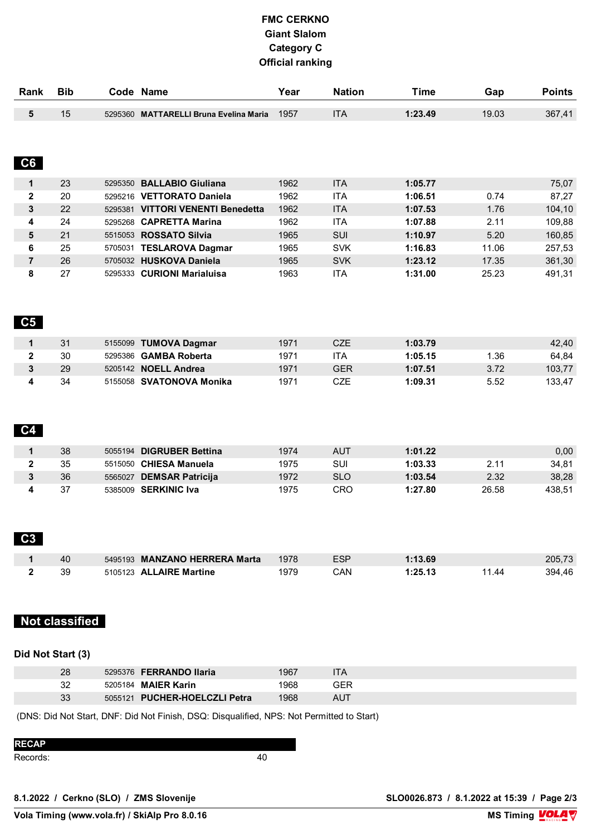| Rank                    | <b>Bib</b>            | Code Name                              | Year         | <b>Nation</b>     | <b>Time</b>        | Gap   | <b>Points</b>    |
|-------------------------|-----------------------|----------------------------------------|--------------|-------------------|--------------------|-------|------------------|
| 5                       | 15                    | 5295360 MATTARELLI Bruna Evelina Maria | 1957         | <b>ITA</b>        | 1:23.49            | 19.03 | 367,41           |
| C6                      |                       |                                        |              |                   |                    |       |                  |
| 1                       | 23                    | 5295350 BALLABIO Giuliana              | 1962         | <b>ITA</b>        | 1:05.77            |       | 75,07            |
| $\mathbf{2}$            | 20                    | 5295216 VETTORATO Daniela              | 1962         | <b>ITA</b>        | 1:06.51            | 0.74  | 87,27            |
| 3                       | 22                    | 5295381 VITTORI VENENTI Benedetta      | 1962         | <b>ITA</b>        | 1:07.53            | 1.76  | 104,10           |
| 4                       | 24                    | 5295268 CAPRETTA Marina                | 1962         | <b>ITA</b>        | 1:07.88            | 2.11  | 109,88           |
| 5                       | 21                    | 5515053 ROSSATO Silvia                 | 1965         | SUI               | 1:10.97            | 5.20  | 160,85           |
| 6                       | 25                    | 5705031 TESLAROVA Dagmar               | 1965         | <b>SVK</b>        | 1:16.83            | 11.06 | 257,53           |
| $\overline{\mathbf{r}}$ | 26                    | 5705032 HUSKOVA Daniela                | 1965         | <b>SVK</b>        | 1:23.12            | 17.35 | 361,30           |
| $\bf8$                  | 27                    | 5295333 CURIONI Marialuisa             | 1963         | <b>ITA</b>        | 1:31.00            | 25.23 | 491,31           |
| C5<br>$\mathbf 1$       | 31                    | 5155099 TUMOVA Dagmar                  | 1971         | CZE               | 1:03.79            |       | 42,40            |
| $\mathbf 2$             | 30                    | 5295386 GAMBA Roberta                  | 1971         | <b>ITA</b>        | 1:05.15            | 1.36  | 64,84            |
| 3                       | 29                    | 5205142 NOELL Andrea                   | 1971         | <b>GER</b>        | 1:07.51            | 3.72  | 103,77           |
| 4<br>C <sub>4</sub>     | 34                    | 5155058 SVATONOVA Monika               | 1971         | CZE               | 1:09.31            | 5.52  | 133,47           |
| $\mathbf 1$             | 38                    | 5055194 DIGRUBER Bettina               | 1974         | <b>AUT</b>        | 1:01.22            |       | 0,00             |
| $\mathbf{2}$            | 35                    | 5515050 CHIESA Manuela                 | 1975         | SUI               | 1:03.33            | 2.11  | 34,81            |
| 3                       | 36                    | 5565027 DEMSAR Patricija               | 1972         | <b>SLO</b>        | 1:03.54            | 2.32  | 38,28            |
| 4                       | 37                    | 5385009 SERKINIC Iva                   | 1975         | CRO               | 1:27.80            | 26.58 | 438,51           |
| C <sub>3</sub>          |                       | 5495193 MANZANO HERRERA Marta          |              |                   |                    |       |                  |
| 1<br>2                  | 40<br>39              | 5105123 ALLAIRE Martine                | 1978<br>1979 | <b>ESP</b><br>CAN | 1:13.69<br>1:25.13 | 11.44 | 205,73<br>394,46 |
|                         |                       |                                        |              |                   |                    |       |                  |
|                         | <b>Not classified</b> |                                        |              |                   |                    |       |                  |

#### **Did Not Start (3)**

| 28 | 5295376 FERRANDO Ilaria       | 1967 | TА  |  |
|----|-------------------------------|------|-----|--|
| 32 | 5205184 <b>MAIER Karin</b>    | 1968 | GER |  |
| 33 | 5055121 PUCHER-HOELCZLI Petra | 1968 | AUT |  |

(DNS: Did Not Start, DNF: Did Not Finish, DSQ: Disqualified, NPS: Not Permitted to Start)

| <b>RECAP</b> |     |
|--------------|-----|
| Records:     | 4 C |

**8.1.2022 / Cerkno (SLO) / ZMS Slovenije SLO0026.873 / 8.1.2022 at 15:39 / Page 2/3**